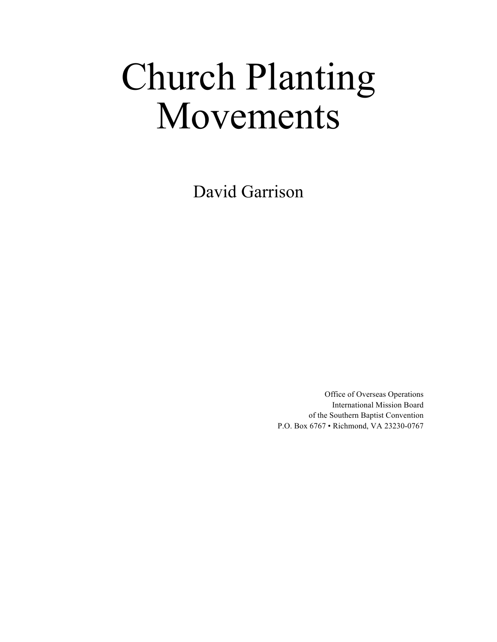# Church Planting Movements

David Garrison

Office of Overseas Operations International Mission Board of the Southern Baptist Convention P.O. Box 6767 • Richmond, VA 23230-0767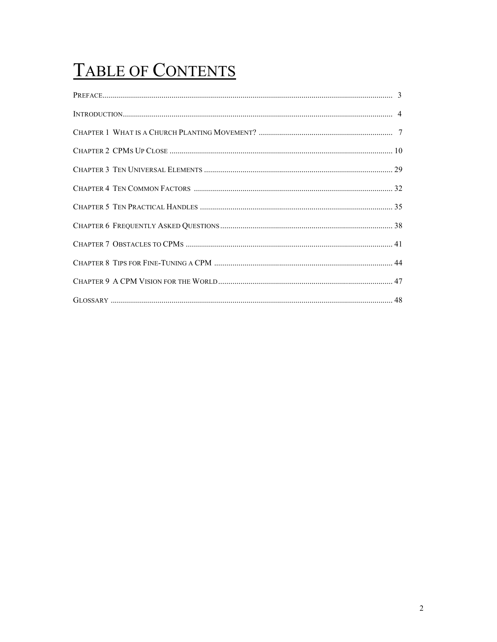# TABLE OF CONTENTS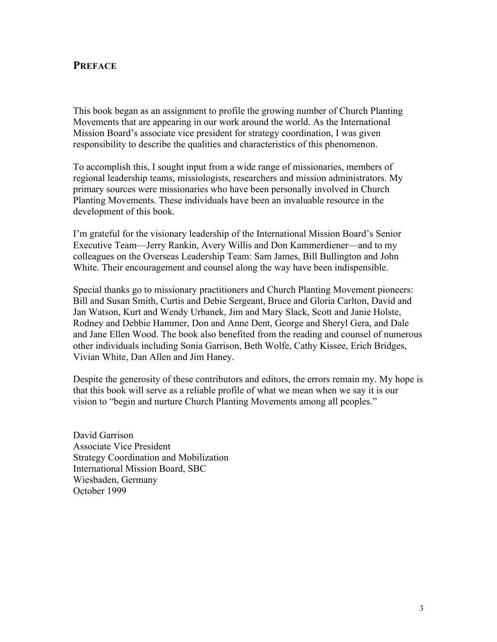#### **PREFACE**

This book began as an assignment to profile the growing number of Church Planting Movements that are appearing in our work around the world. As the International Mission Board's associate vice president for strategy coordination, I was given responsibility to describe the qualities and characteristics of this phenomenon.

To accomplish this, I sought input from a wide range of missionaries, members of regional leadership teams, missiologists, researchers and mission administrators. My primary sources were missionaries who have been personally involved in Church Planting Movements. These individuals have been an invaluable resource in the development of this book.

I'm grateful for the visionary leadership of the International Mission Board's Senior Executive Team—Jerry Rankin, Avery Willis and Don Kammerdiener—and to my colleagues on the Overseas Leadership Team: Sam James, Bill Bullington and John White. Their encouragement and counsel along the way have been indispensible.

Special thanks go to missionary practitioners and Church Planting Movement pioneers: Bill and Susan Smith, Curtis and Debie Sergeant, Bruce and Gloria Carlton, David and Jan Watson, Kurt and Wendy Urbanek, Jim and Mary Slack, Scott and Janie Holste, Rodney and Debbie Hammer, Don and Anne Dent, George and Sheryl Gera, and Dale and Jane Ellen Wood. The book also benefited from the reading and counsel of numerous other individuals including Sonia Garrison, Beth Wolfe, Cathy Kissee, Erich Bridges, Vivian White, Dan Allen and Jim Haney.

Despite the generosity of these contributors and editors, the errors remain my. My hope is that this book will serve as a reliable profile of what we mean when we say it is our vision to "begin and nurture Church Planting Movements among all peoples."

David Garrison Associate Vice President Strategy Coordination and Mobilization International Mission Board, SBC Wiesbaden, Germany October 1999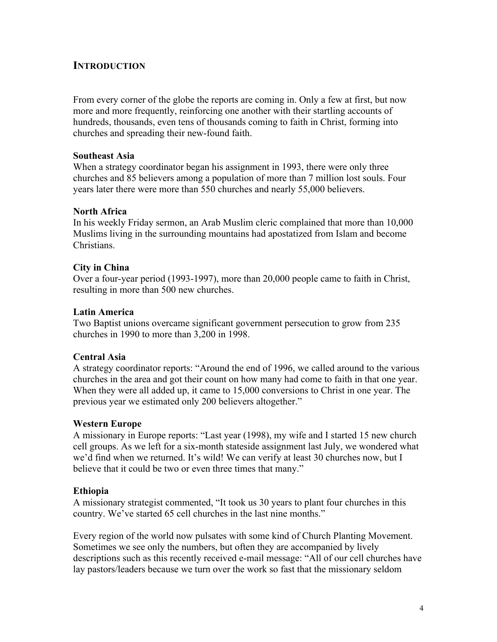## **INTRODUCTION**

From every corner of the globe the reports are coming in. Only a few at first, but now more and more frequently, reinforcing one another with their startling accounts of hundreds, thousands, even tens of thousands coming to faith in Christ, forming into churches and spreading their new-found faith.

#### **Southeast Asia**

When a strategy coordinator began his assignment in 1993, there were only three churches and 85 believers among a population of more than 7 million lost souls. Four years later there were more than 550 churches and nearly 55,000 believers.

#### **North Africa**

In his weekly Friday sermon, an Arab Muslim cleric complained that more than 10,000 Muslims living in the surrounding mountains had apostatized from Islam and become Christians.

#### **City in China**

Over a four-year period (1993-1997), more than 20,000 people came to faith in Christ, resulting in more than 500 new churches.

#### **Latin America**

Two Baptist unions overcame significant government persecution to grow from 235 churches in 1990 to more than 3,200 in 1998.

#### **Central Asia**

A strategy coordinator reports: "Around the end of 1996, we called around to the various churches in the area and got their count on how many had come to faith in that one year. When they were all added up, it came to 15,000 conversions to Christ in one year. The previous year we estimated only 200 believers altogether."

#### **Western Europe**

A missionary in Europe reports: "Last year (1998), my wife and I started 15 new church cell groups. As we left for a six-month stateside assignment last July, we wondered what we'd find when we returned. It's wild! We can verify at least 30 churches now, but I believe that it could be two or even three times that many."

#### **Ethiopia**

A missionary strategist commented, "It took us 30 years to plant four churches in this country. We've started 65 cell churches in the last nine months."

Every region of the world now pulsates with some kind of Church Planting Movement. Sometimes we see only the numbers, but often they are accompanied by lively descriptions such as this recently received e-mail message: "All of our cell churches have lay pastors/leaders because we turn over the work so fast that the missionary seldom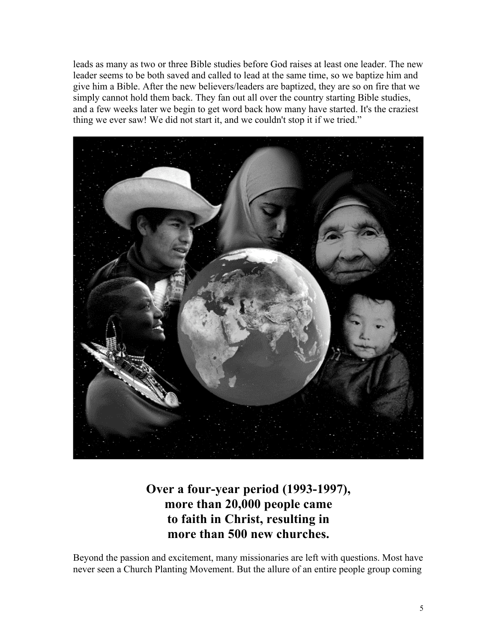leads as many as two or three Bible studies before God raises at least one leader. The new leader seems to be both saved and called to lead at the same time, so we baptize him and give him a Bible. After the new believers/leaders are baptized, they are so on fire that we simply cannot hold them back. They fan out all over the country starting Bible studies, and a few weeks later we begin to get word back how many have started. It's the craziest thing we ever saw! We did not start it, and we couldn't stop it if we tried."



# **Over a four-year period (1993-1997), more than 20,000 people came to faith in Christ, resulting in more than 500 new churches.**

Beyond the passion and excitement, many missionaries are left with questions. Most have never seen a Church Planting Movement. But the allure of an entire people group coming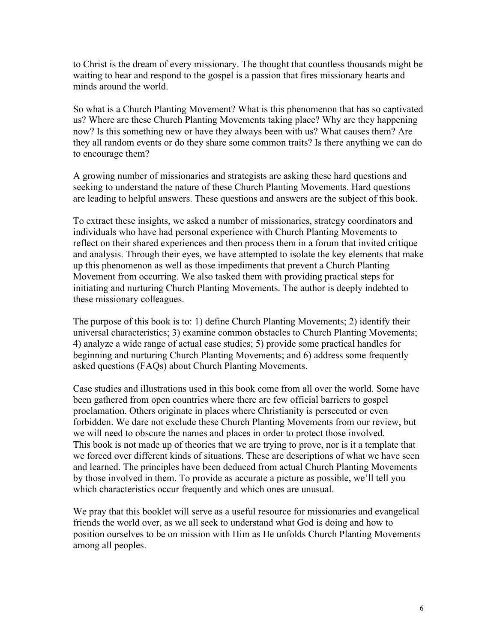to Christ is the dream of every missionary. The thought that countless thousands might be waiting to hear and respond to the gospel is a passion that fires missionary hearts and minds around the world.

So what is a Church Planting Movement? What is this phenomenon that has so captivated us? Where are these Church Planting Movements taking place? Why are they happening now? Is this something new or have they always been with us? What causes them? Are they all random events or do they share some common traits? Is there anything we can do to encourage them?

A growing number of missionaries and strategists are asking these hard questions and seeking to understand the nature of these Church Planting Movements. Hard questions are leading to helpful answers. These questions and answers are the subject of this book.

To extract these insights, we asked a number of missionaries, strategy coordinators and individuals who have had personal experience with Church Planting Movements to reflect on their shared experiences and then process them in a forum that invited critique and analysis. Through their eyes, we have attempted to isolate the key elements that make up this phenomenon as well as those impediments that prevent a Church Planting Movement from occurring. We also tasked them with providing practical steps for initiating and nurturing Church Planting Movements. The author is deeply indebted to these missionary colleagues.

The purpose of this book is to: 1) define Church Planting Movements; 2) identify their universal characteristics; 3) examine common obstacles to Church Planting Movements; 4) analyze a wide range of actual case studies; 5) provide some practical handles for beginning and nurturing Church Planting Movements; and 6) address some frequently asked questions (FAQs) about Church Planting Movements.

Case studies and illustrations used in this book come from all over the world. Some have been gathered from open countries where there are few official barriers to gospel proclamation. Others originate in places where Christianity is persecuted or even forbidden. We dare not exclude these Church Planting Movements from our review, but we will need to obscure the names and places in order to protect those involved. This book is not made up of theories that we are trying to prove, nor is it a template that we forced over different kinds of situations. These are descriptions of what we have seen and learned. The principles have been deduced from actual Church Planting Movements by those involved in them. To provide as accurate a picture as possible, we'll tell you which characteristics occur frequently and which ones are unusual.

We pray that this booklet will serve as a useful resource for missionaries and evangelical friends the world over, as we all seek to understand what God is doing and how to position ourselves to be on mission with Him as He unfolds Church Planting Movements among all peoples.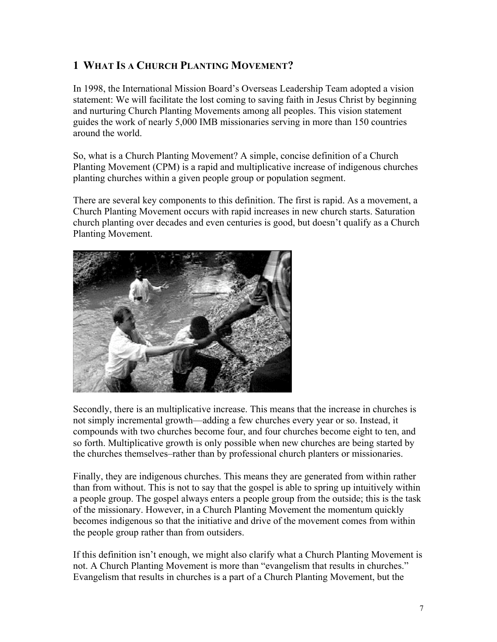# **1 WHAT IS A CHURCH PLANTING MOVEMENT?**

In 1998, the International Mission Board's Overseas Leadership Team adopted a vision statement: We will facilitate the lost coming to saving faith in Jesus Christ by beginning and nurturing Church Planting Movements among all peoples. This vision statement guides the work of nearly 5,000 IMB missionaries serving in more than 150 countries around the world.

So, what is a Church Planting Movement? A simple, concise definition of a Church Planting Movement (CPM) is a rapid and multiplicative increase of indigenous churches planting churches within a given people group or population segment.

There are several key components to this definition. The first is rapid. As a movement, a Church Planting Movement occurs with rapid increases in new church starts. Saturation church planting over decades and even centuries is good, but doesn't qualify as a Church Planting Movement.



Secondly, there is an multiplicative increase. This means that the increase in churches is not simply incremental growth—adding a few churches every year or so. Instead, it compounds with two churches become four, and four churches become eight to ten, and so forth. Multiplicative growth is only possible when new churches are being started by the churches themselves–rather than by professional church planters or missionaries.

Finally, they are indigenous churches. This means they are generated from within rather than from without. This is not to say that the gospel is able to spring up intuitively within a people group. The gospel always enters a people group from the outside; this is the task of the missionary. However, in a Church Planting Movement the momentum quickly becomes indigenous so that the initiative and drive of the movement comes from within the people group rather than from outsiders.

If this definition isn't enough, we might also clarify what a Church Planting Movement is not. A Church Planting Movement is more than "evangelism that results in churches." Evangelism that results in churches is a part of a Church Planting Movement, but the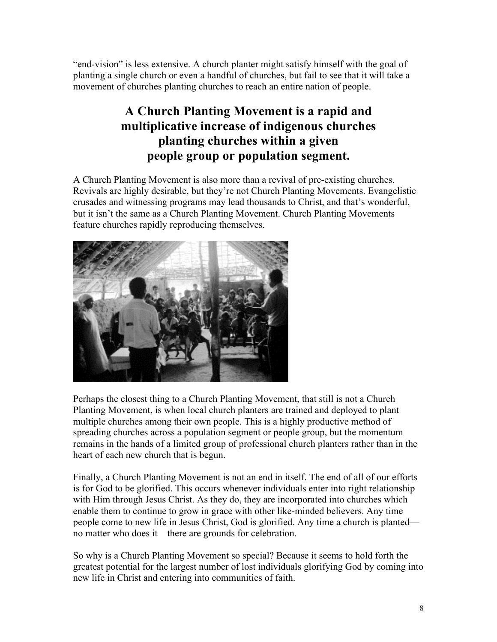"end-vision" is less extensive. A church planter might satisfy himself with the goal of planting a single church or even a handful of churches, but fail to see that it will take a movement of churches planting churches to reach an entire nation of people.

# **A Church Planting Movement is a rapid and multiplicative increase of indigenous churches planting churches within a given people group or population segment.**

A Church Planting Movement is also more than a revival of pre-existing churches. Revivals are highly desirable, but they're not Church Planting Movements. Evangelistic crusades and witnessing programs may lead thousands to Christ, and that's wonderful, but it isn't the same as a Church Planting Movement. Church Planting Movements feature churches rapidly reproducing themselves.



Perhaps the closest thing to a Church Planting Movement, that still is not a Church Planting Movement, is when local church planters are trained and deployed to plant multiple churches among their own people. This is a highly productive method of spreading churches across a population segment or people group, but the momentum remains in the hands of a limited group of professional church planters rather than in the heart of each new church that is begun.

Finally, a Church Planting Movement is not an end in itself. The end of all of our efforts is for God to be glorified. This occurs whenever individuals enter into right relationship with Him through Jesus Christ. As they do, they are incorporated into churches which enable them to continue to grow in grace with other like-minded believers. Any time people come to new life in Jesus Christ, God is glorified. Any time a church is planted no matter who does it—there are grounds for celebration.

So why is a Church Planting Movement so special? Because it seems to hold forth the greatest potential for the largest number of lost individuals glorifying God by coming into new life in Christ and entering into communities of faith.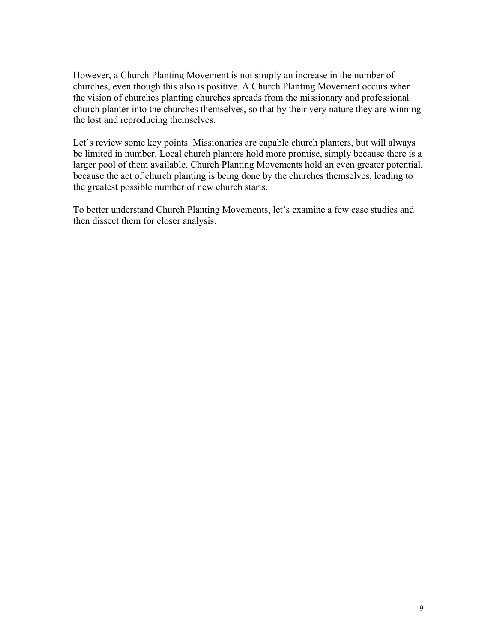However, a Church Planting Movement is not simply an increase in the number of churches, even though this also is positive. A Church Planting Movement occurs when the vision of churches planting churches spreads from the missionary and professional church planter into the churches themselves, so that by their very nature they are winning the lost and reproducing themselves.

Let's review some key points. Missionaries are capable church planters, but will always be limited in number. Local church planters hold more promise, simply because there is a larger pool of them available. Church Planting Movements hold an even greater potential, because the act of church planting is being done by the churches themselves, leading to the greatest possible number of new church starts.

To better understand Church Planting Movements, let's examine a few case studies and then dissect them for closer analysis.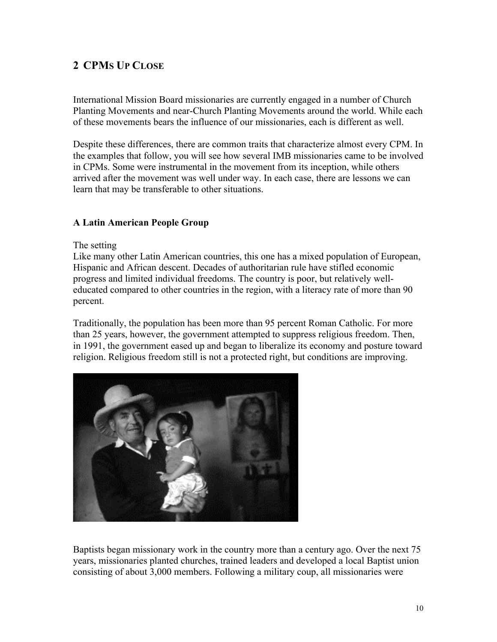# **2 CPMS UP CLOSE**

International Mission Board missionaries are currently engaged in a number of Church Planting Movements and near-Church Planting Movements around the world. While each of these movements bears the influence of our missionaries, each is different as well.

Despite these differences, there are common traits that characterize almost every CPM. In the examples that follow, you will see how several IMB missionaries came to be involved in CPMs. Some were instrumental in the movement from its inception, while others arrived after the movement was well under way. In each case, there are lessons we can learn that may be transferable to other situations.

#### **A Latin American People Group**

The setting

Like many other Latin American countries, this one has a mixed population of European, Hispanic and African descent. Decades of authoritarian rule have stifled economic progress and limited individual freedoms. The country is poor, but relatively welleducated compared to other countries in the region, with a literacy rate of more than 90 percent.

Traditionally, the population has been more than 95 percent Roman Catholic. For more than 25 years, however, the government attempted to suppress religious freedom. Then, in 1991, the government eased up and began to liberalize its economy and posture toward religion. Religious freedom still is not a protected right, but conditions are improving.



Baptists began missionary work in the country more than a century ago. Over the next 75 years, missionaries planted churches, trained leaders and developed a local Baptist union consisting of about 3,000 members. Following a military coup, all missionaries were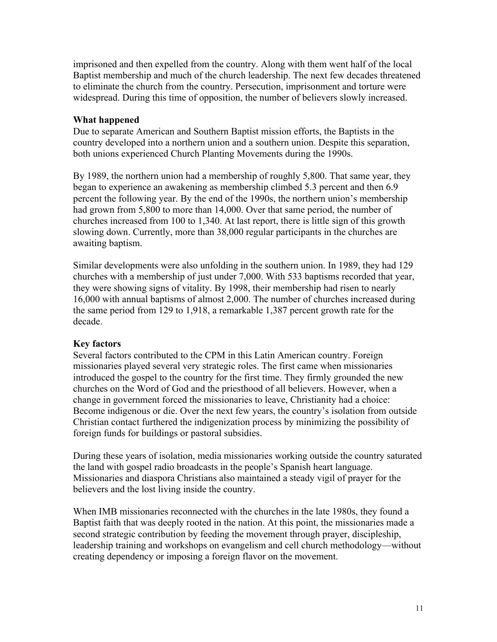imprisoned and then expelled from the country. Along with them went half of the local Baptist membership and much of the church leadership. The next few decades threatened to eliminate the church from the country. Persecution, imprisonment and torture were widespread. During this time of opposition, the number of believers slowly increased.

#### **What happened**

Due to separate American and Southern Baptist mission efforts, the Baptists in the country developed into a northern union and a southern union. Despite this separation, both unions experienced Church Planting Movements during the 1990s.

By 1989, the northern union had a membership of roughly 5,800. That same year, they began to experience an awakening as membership climbed 5.3 percent and then 6.9 percent the following year. By the end of the 1990s, the northern union's membership had grown from 5,800 to more than 14,000. Over that same period, the number of churches increased from 100 to 1,340. At last report, there is little sign of this growth slowing down. Currently, more than 38,000 regular participants in the churches are awaiting baptism.

Similar developments were also unfolding in the southern union. In 1989, they had 129 churches with a membership of just under 7,000. With 533 baptisms recorded that year, they were showing signs of vitality. By 1998, their membership had risen to nearly 16,000 with annual baptisms of almost 2,000. The number of churches increased during the same period from 129 to 1,918, a remarkable 1,387 percent growth rate for the decade.

#### **Key factors**

Several factors contributed to the CPM in this Latin American country. Foreign missionaries played several very strategic roles. The first came when missionaries introduced the gospel to the country for the first time. They firmly grounded the new churches on the Word of God and the priesthood of all believers. However, when a change in government forced the missionaries to leave, Christianity had a choice: Become indigenous or die. Over the next few years, the country's isolation from outside Christian contact furthered the indigenization process by minimizing the possibility of foreign funds for buildings or pastoral subsidies.

During these years of isolation, media missionaries working outside the country saturated the land with gospel radio broadcasts in the people's Spanish heart language. Missionaries and diaspora Christians also maintained a steady vigil of prayer for the believers and the lost living inside the country.

When IMB missionaries reconnected with the churches in the late 1980s, they found a Baptist faith that was deeply rooted in the nation. At this point, the missionaries made a second strategic contribution by feeding the movement through prayer, discipleship, leadership training and workshops on evangelism and cell church methodology—without creating dependency or imposing a foreign flavor on the movement.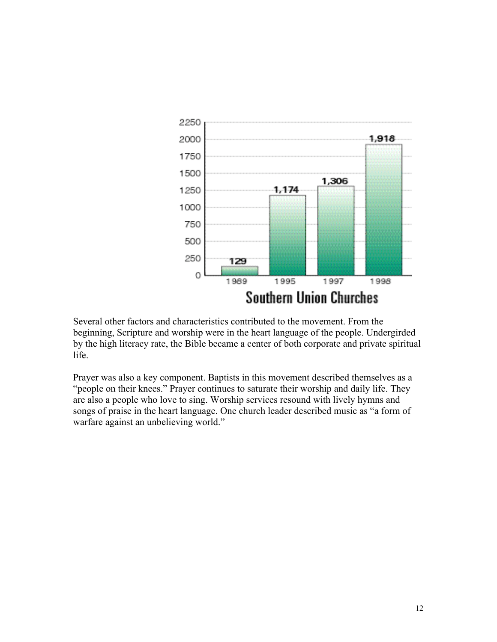

Several other factors and characteristics contributed to the movement. From the beginning, Scripture and worship were in the heart language of the people. Undergirded by the high literacy rate, the Bible became a center of both corporate and private spiritual life.

Prayer was also a key component. Baptists in this movement described themselves as a "people on their knees." Prayer continues to saturate their worship and daily life. They are also a people who love to sing. Worship services resound with lively hymns and songs of praise in the heart language. One church leader described music as "a form of warfare against an unbelieving world."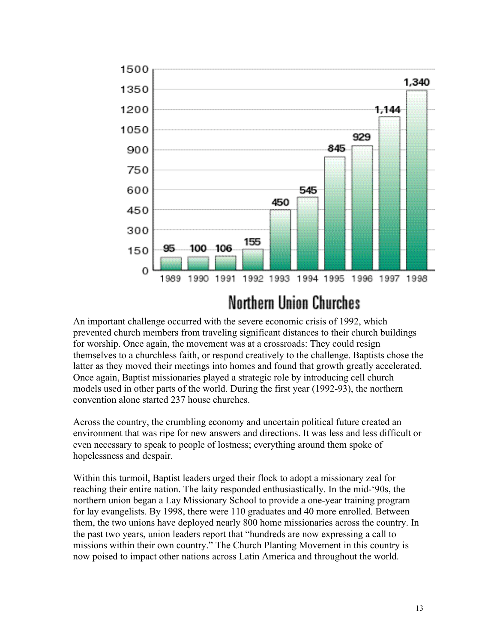

# **Northern Union Churches**

An important challenge occurred with the severe economic crisis of 1992, which prevented church members from traveling significant distances to their church buildings for worship. Once again, the movement was at a crossroads: They could resign themselves to a churchless faith, or respond creatively to the challenge. Baptists chose the latter as they moved their meetings into homes and found that growth greatly accelerated. Once again, Baptist missionaries played a strategic role by introducing cell church models used in other parts of the world. During the first year (1992-93), the northern convention alone started 237 house churches.

Across the country, the crumbling economy and uncertain political future created an environment that was ripe for new answers and directions. It was less and less difficult or even necessary to speak to people of lostness; everything around them spoke of hopelessness and despair.

Within this turmoil, Baptist leaders urged their flock to adopt a missionary zeal for reaching their entire nation. The laity responded enthusiastically. In the mid-'90s, the northern union began a Lay Missionary School to provide a one-year training program for lay evangelists. By 1998, there were 110 graduates and 40 more enrolled. Between them, the two unions have deployed nearly 800 home missionaries across the country. In the past two years, union leaders report that "hundreds are now expressing a call to missions within their own country." The Church Planting Movement in this country is now poised to impact other nations across Latin America and throughout the world.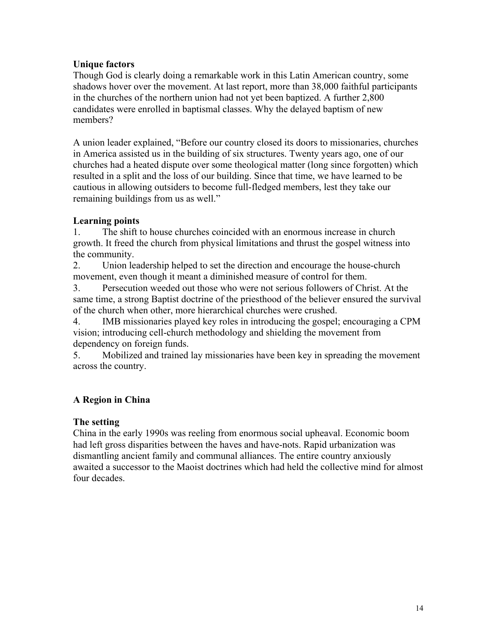#### **Unique factors**

Though God is clearly doing a remarkable work in this Latin American country, some shadows hover over the movement. At last report, more than 38,000 faithful participants in the churches of the northern union had not yet been baptized. A further 2,800 candidates were enrolled in baptismal classes. Why the delayed baptism of new members?

A union leader explained, "Before our country closed its doors to missionaries, churches in America assisted us in the building of six structures. Twenty years ago, one of our churches had a heated dispute over some theological matter (long since forgotten) which resulted in a split and the loss of our building. Since that time, we have learned to be cautious in allowing outsiders to become full-fledged members, lest they take our remaining buildings from us as well."

## **Learning points**

1. The shift to house churches coincided with an enormous increase in church growth. It freed the church from physical limitations and thrust the gospel witness into the community.

2. Union leadership helped to set the direction and encourage the house-church movement, even though it meant a diminished measure of control for them.

3. Persecution weeded out those who were not serious followers of Christ. At the same time, a strong Baptist doctrine of the priesthood of the believer ensured the survival of the church when other, more hierarchical churches were crushed.

4. IMB missionaries played key roles in introducing the gospel; encouraging a CPM vision; introducing cell-church methodology and shielding the movement from dependency on foreign funds.

5. Mobilized and trained lay missionaries have been key in spreading the movement across the country.

# **A Region in China**

#### **The setting**

China in the early 1990s was reeling from enormous social upheaval. Economic boom had left gross disparities between the haves and have-nots. Rapid urbanization was dismantling ancient family and communal alliances. The entire country anxiously awaited a successor to the Maoist doctrines which had held the collective mind for almost four decades.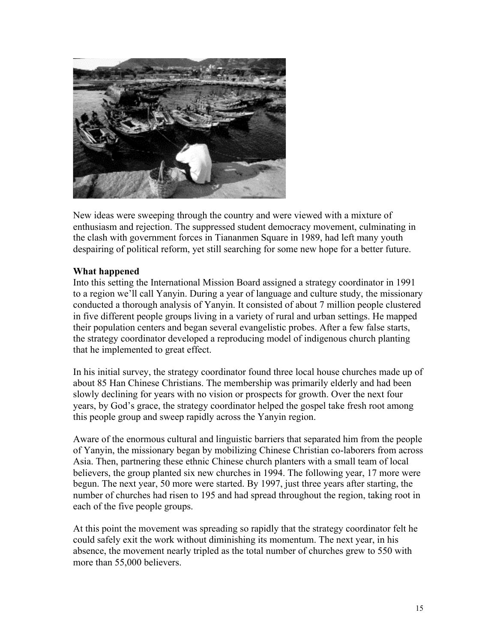

New ideas were sweeping through the country and were viewed with a mixture of enthusiasm and rejection. The suppressed student democracy movement, culminating in the clash with government forces in Tiananmen Square in 1989, had left many youth despairing of political reform, yet still searching for some new hope for a better future.

#### **What happened**

Into this setting the International Mission Board assigned a strategy coordinator in 1991 to a region we'll call Yanyin. During a year of language and culture study, the missionary conducted a thorough analysis of Yanyin. It consisted of about 7 million people clustered in five different people groups living in a variety of rural and urban settings. He mapped their population centers and began several evangelistic probes. After a few false starts, the strategy coordinator developed a reproducing model of indigenous church planting that he implemented to great effect.

In his initial survey, the strategy coordinator found three local house churches made up of about 85 Han Chinese Christians. The membership was primarily elderly and had been slowly declining for years with no vision or prospects for growth. Over the next four years, by God's grace, the strategy coordinator helped the gospel take fresh root among this people group and sweep rapidly across the Yanyin region.

Aware of the enormous cultural and linguistic barriers that separated him from the people of Yanyin, the missionary began by mobilizing Chinese Christian co-laborers from across Asia. Then, partnering these ethnic Chinese church planters with a small team of local believers, the group planted six new churches in 1994. The following year, 17 more were begun. The next year, 50 more were started. By 1997, just three years after starting, the number of churches had risen to 195 and had spread throughout the region, taking root in each of the five people groups.

At this point the movement was spreading so rapidly that the strategy coordinator felt he could safely exit the work without diminishing its momentum. The next year, in his absence, the movement nearly tripled as the total number of churches grew to 550 with more than 55,000 believers.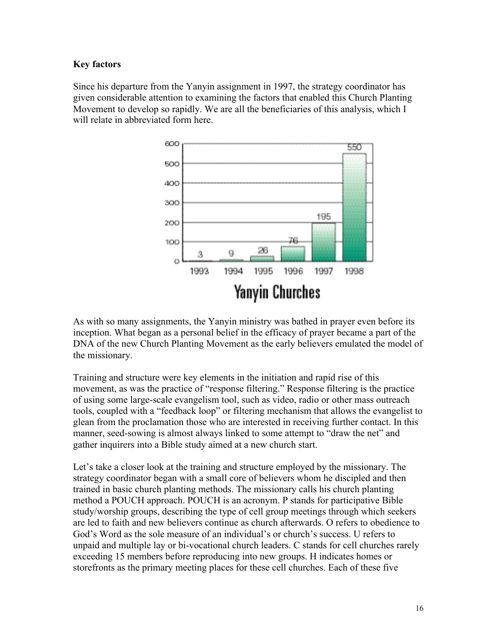#### **Key factors**

Since his departure from the Yanyin assignment in 1997, the strategy coordinator has given considerable attention to examining the factors that enabled this Church Planting Movement to develop so rapidly. We are all the beneficiaries of this analysis, which I will relate in abbreviated form here.



As with so many assignments, the Yanyin ministry was bathed in prayer even before its inception. What began as a personal belief in the efficacy of prayer became a part of the DNA of the new Church Planting Movement as the early believers emulated the model of the missionary.

Training and structure were key elements in the initiation and rapid rise of this movement, as was the practice of "response filtering." Response filtering is the practice of using some large-scale evangelism tool, such as video, radio or other mass outreach tools, coupled with a "feedback loop" or filtering mechanism that allows the evangelist to glean from the proclamation those who are interested in receiving further contact. In this manner, seed-sowing is almost always linked to some attempt to "draw the net" and gather inquirers into a Bible study aimed at a new church start.

Let's take a closer look at the training and structure employed by the missionary. The strategy coordinator began with a small core of believers whom he discipled and then trained in basic church planting methods. The missionary calls his church planting method a POUCH approach. POUCH is an acronym. P stands for participative Bible study/worship groups, describing the type of cell group meetings through which seekers are led to faith and new believers continue as church afterwards. O refers to obedience to God's Word as the sole measure of an individual's or church's success. U refers to unpaid and multiple lay or bi-vocational church leaders. C stands for cell churches rarely exceeding 15 members before reproducing into new groups. H indicates homes or storefronts as the primary meeting places for these cell churches. Each of these five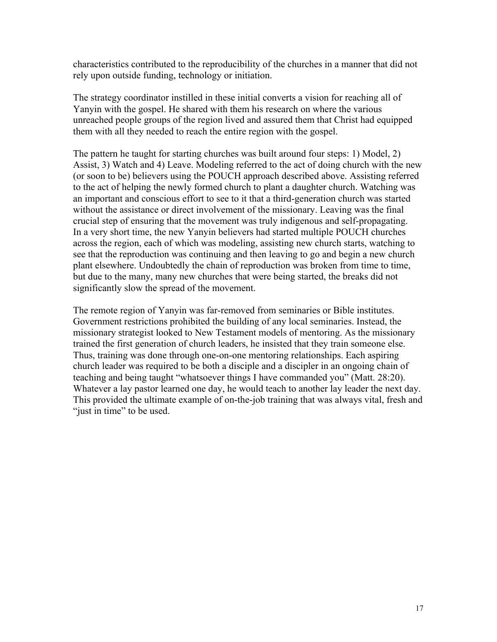characteristics contributed to the reproducibility of the churches in a manner that did not rely upon outside funding, technology or initiation.

The strategy coordinator instilled in these initial converts a vision for reaching all of Yanyin with the gospel. He shared with them his research on where the various unreached people groups of the region lived and assured them that Christ had equipped them with all they needed to reach the entire region with the gospel.

The pattern he taught for starting churches was built around four steps: 1) Model, 2) Assist, 3) Watch and 4) Leave. Modeling referred to the act of doing church with the new (or soon to be) believers using the POUCH approach described above. Assisting referred to the act of helping the newly formed church to plant a daughter church. Watching was an important and conscious effort to see to it that a third-generation church was started without the assistance or direct involvement of the missionary. Leaving was the final crucial step of ensuring that the movement was truly indigenous and self-propagating. In a very short time, the new Yanyin believers had started multiple POUCH churches across the region, each of which was modeling, assisting new church starts, watching to see that the reproduction was continuing and then leaving to go and begin a new church plant elsewhere. Undoubtedly the chain of reproduction was broken from time to time, but due to the many, many new churches that were being started, the breaks did not significantly slow the spread of the movement.

The remote region of Yanyin was far-removed from seminaries or Bible institutes. Government restrictions prohibited the building of any local seminaries. Instead, the missionary strategist looked to New Testament models of mentoring. As the missionary trained the first generation of church leaders, he insisted that they train someone else. Thus, training was done through one-on-one mentoring relationships. Each aspiring church leader was required to be both a disciple and a discipler in an ongoing chain of teaching and being taught "whatsoever things I have commanded you" (Matt. 28:20). Whatever a lay pastor learned one day, he would teach to another lay leader the next day. This provided the ultimate example of on-the-job training that was always vital, fresh and "just in time" to be used.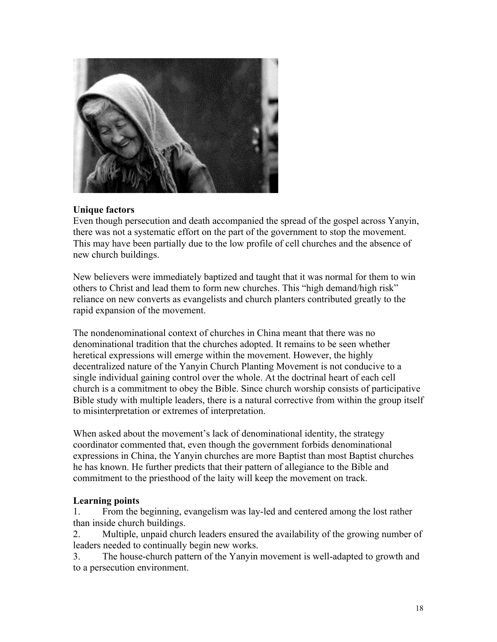

#### **Unique factors**

Even though persecution and death accompanied the spread of the gospel across Yanyin, there was not a systematic effort on the part of the government to stop the movement. This may have been partially due to the low profile of cell churches and the absence of new church buildings.

New believers were immediately baptized and taught that it was normal for them to win others to Christ and lead them to form new churches. This "high demand/high risk" reliance on new converts as evangelists and church planters contributed greatly to the rapid expansion of the movement.

The nondenominational context of churches in China meant that there was no denominational tradition that the churches adopted. It remains to be seen whether heretical expressions will emerge within the movement. However, the highly decentralized nature of the Yanyin Church Planting Movement is not conducive to a single individual gaining control over the whole. At the doctrinal heart of each cell church is a commitment to obey the Bible. Since church worship consists of participative Bible study with multiple leaders, there is a natural corrective from within the group itself to misinterpretation or extremes of interpretation.

When asked about the movement's lack of denominational identity, the strategy coordinator commented that, even though the government forbids denominational expressions in China, the Yanyin churches are more Baptist than most Baptist churches he has known. He further predicts that their pattern of allegiance to the Bible and commitment to the priesthood of the laity will keep the movement on track.

#### **Learning points**

1. From the beginning, evangelism was lay-led and centered among the lost rather than inside church buildings.

2. Multiple, unpaid church leaders ensured the availability of the growing number of leaders needed to continually begin new works.

3. The house-church pattern of the Yanyin movement is well-adapted to growth and to a persecution environment.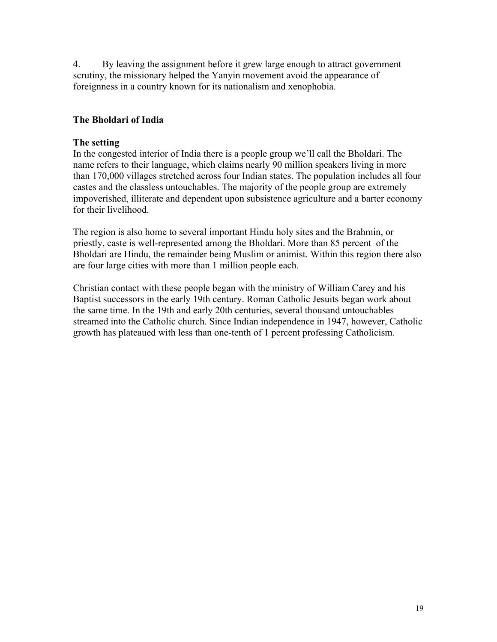4. By leaving the assignment before it grew large enough to attract government scrutiny, the missionary helped the Yanyin movement avoid the appearance of foreignness in a country known for its nationalism and xenophobia.

#### **The Bholdari of India**

#### **The setting**

In the congested interior of India there is a people group we'll call the Bholdari. The name refers to their language, which claims nearly 90 million speakers living in more than 170,000 villages stretched across four Indian states. The population includes all four castes and the classless untouchables. The majority of the people group are extremely impoverished, illiterate and dependent upon subsistence agriculture and a barter economy for their livelihood.

The region is also home to several important Hindu holy sites and the Brahmin, or priestly, caste is well-represented among the Bholdari. More than 85 percent of the Bholdari are Hindu, the remainder being Muslim or animist. Within this region there also are four large cities with more than 1 million people each.

Christian contact with these people began with the ministry of William Carey and his Baptist successors in the early 19th century. Roman Catholic Jesuits began work about the same time. In the 19th and early 20th centuries, several thousand untouchables streamed into the Catholic church. Since Indian independence in 1947, however, Catholic growth has plateaued with less than one-tenth of 1 percent professing Catholicism.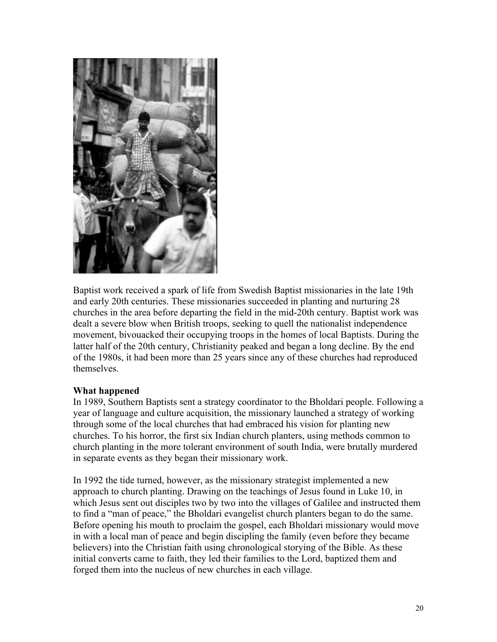

Baptist work received a spark of life from Swedish Baptist missionaries in the late 19th and early 20th centuries. These missionaries succeeded in planting and nurturing 28 churches in the area before departing the field in the mid-20th century. Baptist work was dealt a severe blow when British troops, seeking to quell the nationalist independence movement, bivouacked their occupying troops in the homes of local Baptists. During the latter half of the 20th century, Christianity peaked and began a long decline. By the end of the 1980s, it had been more than 25 years since any of these churches had reproduced themselves.

#### **What happened**

In 1989, Southern Baptists sent a strategy coordinator to the Bholdari people. Following a year of language and culture acquisition, the missionary launched a strategy of working through some of the local churches that had embraced his vision for planting new churches. To his horror, the first six Indian church planters, using methods common to church planting in the more tolerant environment of south India, were brutally murdered in separate events as they began their missionary work.

In 1992 the tide turned, however, as the missionary strategist implemented a new approach to church planting. Drawing on the teachings of Jesus found in Luke 10, in which Jesus sent out disciples two by two into the villages of Galilee and instructed them to find a "man of peace," the Bholdari evangelist church planters began to do the same. Before opening his mouth to proclaim the gospel, each Bholdari missionary would move in with a local man of peace and begin discipling the family (even before they became believers) into the Christian faith using chronological storying of the Bible. As these initial converts came to faith, they led their families to the Lord, baptized them and forged them into the nucleus of new churches in each village.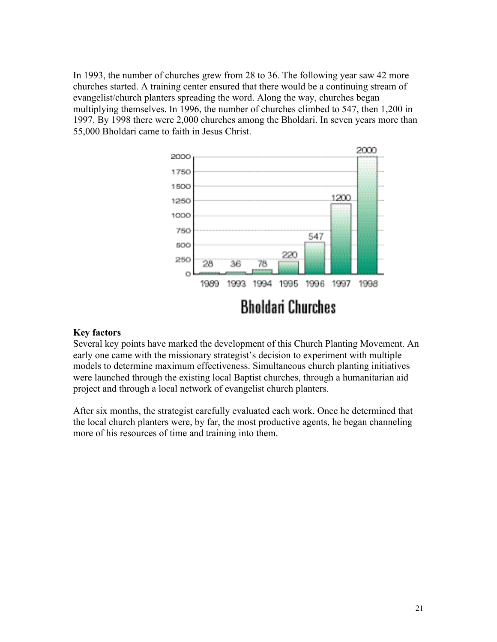In 1993, the number of churches grew from 28 to 36. The following year saw 42 more churches started. A training center ensured that there would be a continuing stream of evangelist/church planters spreading the word. Along the way, churches began multiplying themselves. In 1996, the number of churches climbed to 547, then 1,200 in 1997. By 1998 there were 2,000 churches among the Bholdari. In seven years more than 55,000 Bholdari came to faith in Jesus Christ.



#### **Key factors**

Several key points have marked the development of this Church Planting Movement. An early one came with the missionary strategist's decision to experiment with multiple models to determine maximum effectiveness. Simultaneous church planting initiatives were launched through the existing local Baptist churches, through a humanitarian aid project and through a local network of evangelist church planters.

After six months, the strategist carefully evaluated each work. Once he determined that the local church planters were, by far, the most productive agents, he began channeling more of his resources of time and training into them.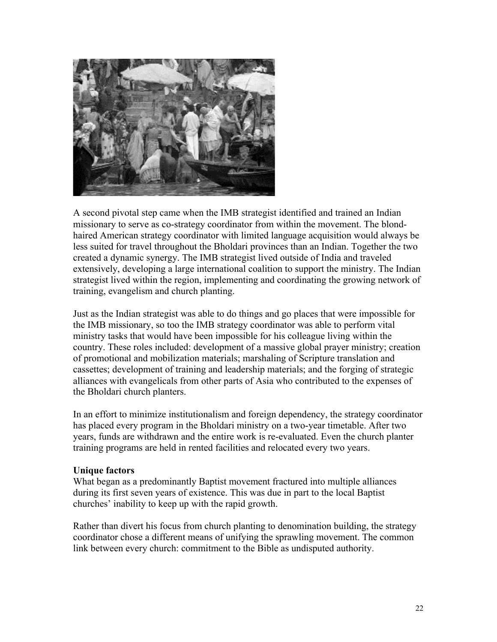

A second pivotal step came when the IMB strategist identified and trained an Indian missionary to serve as co-strategy coordinator from within the movement. The blondhaired American strategy coordinator with limited language acquisition would always be less suited for travel throughout the Bholdari provinces than an Indian. Together the two created a dynamic synergy. The IMB strategist lived outside of India and traveled extensively, developing a large international coalition to support the ministry. The Indian strategist lived within the region, implementing and coordinating the growing network of training, evangelism and church planting.

Just as the Indian strategist was able to do things and go places that were impossible for the IMB missionary, so too the IMB strategy coordinator was able to perform vital ministry tasks that would have been impossible for his colleague living within the country. These roles included: development of a massive global prayer ministry; creation of promotional and mobilization materials; marshaling of Scripture translation and cassettes; development of training and leadership materials; and the forging of strategic alliances with evangelicals from other parts of Asia who contributed to the expenses of the Bholdari church planters.

In an effort to minimize institutionalism and foreign dependency, the strategy coordinator has placed every program in the Bholdari ministry on a two-year timetable. After two years, funds are withdrawn and the entire work is re-evaluated. Even the church planter training programs are held in rented facilities and relocated every two years.

#### **Unique factors**

What began as a predominantly Baptist movement fractured into multiple alliances during its first seven years of existence. This was due in part to the local Baptist churches' inability to keep up with the rapid growth.

Rather than divert his focus from church planting to denomination building, the strategy coordinator chose a different means of unifying the sprawling movement. The common link between every church: commitment to the Bible as undisputed authority.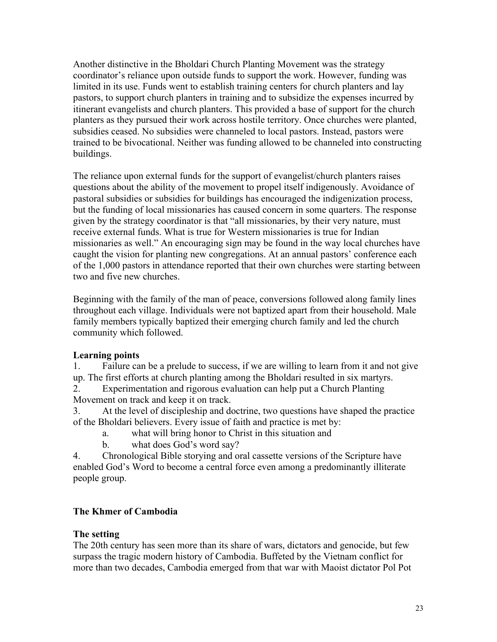Another distinctive in the Bholdari Church Planting Movement was the strategy coordinator's reliance upon outside funds to support the work. However, funding was limited in its use. Funds went to establish training centers for church planters and lay pastors, to support church planters in training and to subsidize the expenses incurred by itinerant evangelists and church planters. This provided a base of support for the church planters as they pursued their work across hostile territory. Once churches were planted, subsidies ceased. No subsidies were channeled to local pastors. Instead, pastors were trained to be bivocational. Neither was funding allowed to be channeled into constructing buildings.

The reliance upon external funds for the support of evangelist/church planters raises questions about the ability of the movement to propel itself indigenously. Avoidance of pastoral subsidies or subsidies for buildings has encouraged the indigenization process, but the funding of local missionaries has caused concern in some quarters. The response given by the strategy coordinator is that "all missionaries, by their very nature, must receive external funds. What is true for Western missionaries is true for Indian missionaries as well." An encouraging sign may be found in the way local churches have caught the vision for planting new congregations. At an annual pastors' conference each of the 1,000 pastors in attendance reported that their own churches were starting between two and five new churches.

Beginning with the family of the man of peace, conversions followed along family lines throughout each village. Individuals were not baptized apart from their household. Male family members typically baptized their emerging church family and led the church community which followed.

#### **Learning points**

1. Failure can be a prelude to success, if we are willing to learn from it and not give up. The first efforts at church planting among the Bholdari resulted in six martyrs.

- 2. Experimentation and rigorous evaluation can help put a Church Planting Movement on track and keep it on track.
- 3. At the level of discipleship and doctrine, two questions have shaped the practice of the Bholdari believers. Every issue of faith and practice is met by:
	- a. what will bring honor to Christ in this situation and
	- b. what does God's word say?

4. Chronological Bible storying and oral cassette versions of the Scripture have enabled God's Word to become a central force even among a predominantly illiterate people group.

# **The Khmer of Cambodia**

# **The setting**

The 20th century has seen more than its share of wars, dictators and genocide, but few surpass the tragic modern history of Cambodia. Buffeted by the Vietnam conflict for more than two decades, Cambodia emerged from that war with Maoist dictator Pol Pot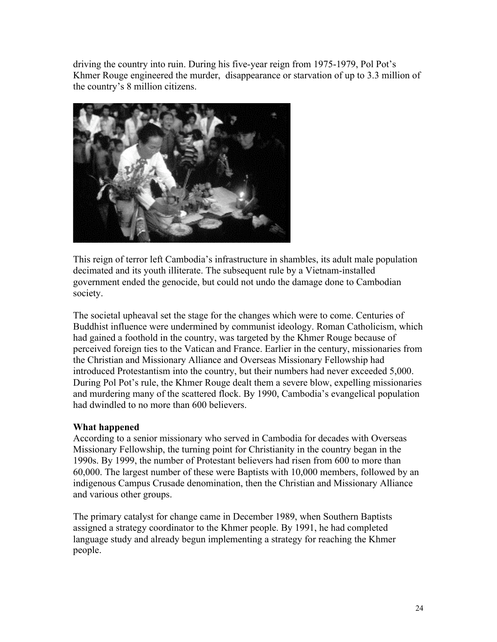driving the country into ruin. During his five-year reign from 1975-1979, Pol Pot's Khmer Rouge engineered the murder, disappearance or starvation of up to 3.3 million of the country's 8 million citizens.



This reign of terror left Cambodia's infrastructure in shambles, its adult male population decimated and its youth illiterate. The subsequent rule by a Vietnam-installed government ended the genocide, but could not undo the damage done to Cambodian society.

The societal upheaval set the stage for the changes which were to come. Centuries of Buddhist influence were undermined by communist ideology. Roman Catholicism, which had gained a foothold in the country, was targeted by the Khmer Rouge because of perceived foreign ties to the Vatican and France. Earlier in the century, missionaries from the Christian and Missionary Alliance and Overseas Missionary Fellowship had introduced Protestantism into the country, but their numbers had never exceeded 5,000. During Pol Pot's rule, the Khmer Rouge dealt them a severe blow, expelling missionaries and murdering many of the scattered flock. By 1990, Cambodia's evangelical population had dwindled to no more than 600 believers.

#### **What happened**

According to a senior missionary who served in Cambodia for decades with Overseas Missionary Fellowship, the turning point for Christianity in the country began in the 1990s. By 1999, the number of Protestant believers had risen from 600 to more than 60,000. The largest number of these were Baptists with 10,000 members, followed by an indigenous Campus Crusade denomination, then the Christian and Missionary Alliance and various other groups.

The primary catalyst for change came in December 1989, when Southern Baptists assigned a strategy coordinator to the Khmer people. By 1991, he had completed language study and already begun implementing a strategy for reaching the Khmer people.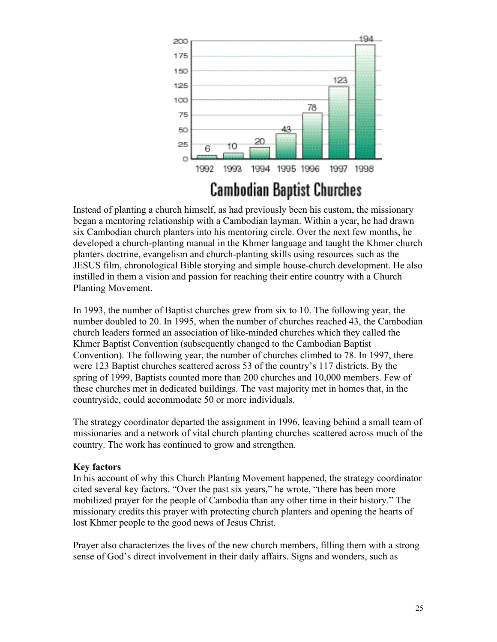

Instead of planting a church himself, as had previously been his custom, the missionary began a mentoring relationship with a Cambodian layman. Within a year, he had drawn six Cambodian church planters into his mentoring circle. Over the next few months, he developed a church-planting manual in the Khmer language and taught the Khmer church planters doctrine, evangelism and church-planting skills using resources such as the JESUS film, chronological Bible storying and simple house-church development. He also instilled in them a vision and passion for reaching their entire country with a Church Planting Movement.

In 1993, the number of Baptist churches grew from six to 10. The following year, the number doubled to 20. In 1995, when the number of churches reached 43, the Cambodian church leaders formed an association of like-minded churches which they called the Khmer Baptist Convention (subsequently changed to the Cambodian Baptist Convention). The following year, the number of churches climbed to 78. In 1997, there were 123 Baptist churches scattered across 53 of the country's 117 districts. By the spring of 1999, Baptists counted more than 200 churches and 10,000 members. Few of these churches met in dedicated buildings. The vast majority met in homes that, in the countryside, could accommodate 50 or more individuals.

The strategy coordinator departed the assignment in 1996, leaving behind a small team of missionaries and a network of vital church planting churches scattered across much of the country. The work has continued to grow and strengthen.

#### **Key factors**

In his account of why this Church Planting Movement happened, the strategy coordinator cited several key factors. "Over the past six years," he wrote, "there has been more mobilized prayer for the people of Cambodia than any other time in their history." The missionary credits this prayer with protecting church planters and opening the hearts of lost Khmer people to the good news of Jesus Christ.

Prayer also characterizes the lives of the new church members, filling them with a strong sense of God's direct involvement in their daily affairs. Signs and wonders, such as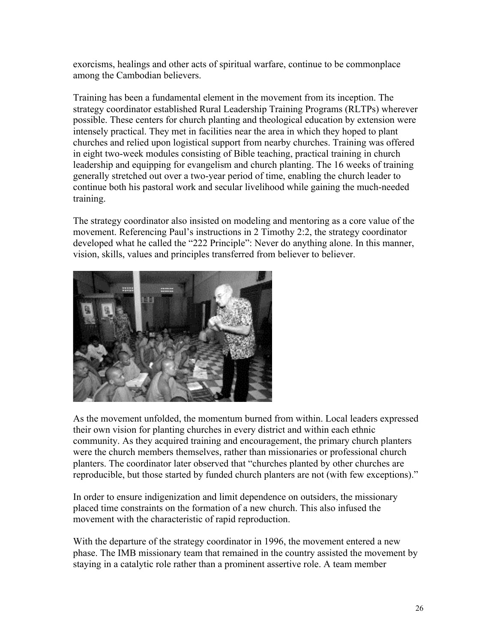exorcisms, healings and other acts of spiritual warfare, continue to be commonplace among the Cambodian believers.

Training has been a fundamental element in the movement from its inception. The strategy coordinator established Rural Leadership Training Programs (RLTPs) wherever possible. These centers for church planting and theological education by extension were intensely practical. They met in facilities near the area in which they hoped to plant churches and relied upon logistical support from nearby churches. Training was offered in eight two-week modules consisting of Bible teaching, practical training in church leadership and equipping for evangelism and church planting. The 16 weeks of training generally stretched out over a two-year period of time, enabling the church leader to continue both his pastoral work and secular livelihood while gaining the much-needed training.

The strategy coordinator also insisted on modeling and mentoring as a core value of the movement. Referencing Paul's instructions in 2 Timothy 2:2, the strategy coordinator developed what he called the "222 Principle": Never do anything alone. In this manner, vision, skills, values and principles transferred from believer to believer.



As the movement unfolded, the momentum burned from within. Local leaders expressed their own vision for planting churches in every district and within each ethnic community. As they acquired training and encouragement, the primary church planters were the church members themselves, rather than missionaries or professional church planters. The coordinator later observed that "churches planted by other churches are reproducible, but those started by funded church planters are not (with few exceptions)."

In order to ensure indigenization and limit dependence on outsiders, the missionary placed time constraints on the formation of a new church. This also infused the movement with the characteristic of rapid reproduction.

With the departure of the strategy coordinator in 1996, the movement entered a new phase. The IMB missionary team that remained in the country assisted the movement by staying in a catalytic role rather than a prominent assertive role. A team member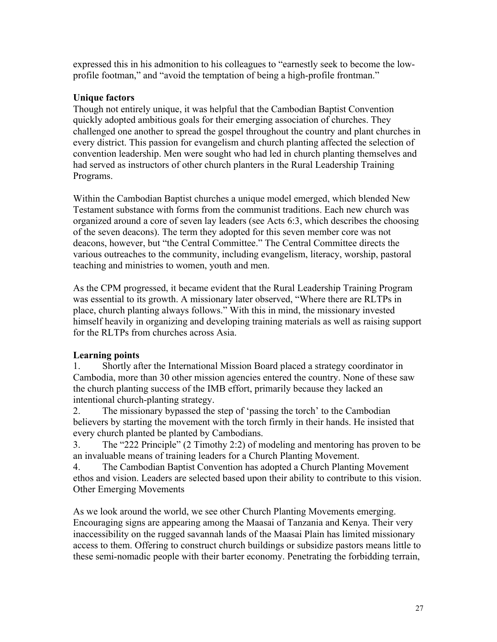expressed this in his admonition to his colleagues to "earnestly seek to become the lowprofile footman," and "avoid the temptation of being a high-profile frontman."

#### **Unique factors**

Though not entirely unique, it was helpful that the Cambodian Baptist Convention quickly adopted ambitious goals for their emerging association of churches. They challenged one another to spread the gospel throughout the country and plant churches in every district. This passion for evangelism and church planting affected the selection of convention leadership. Men were sought who had led in church planting themselves and had served as instructors of other church planters in the Rural Leadership Training Programs.

Within the Cambodian Baptist churches a unique model emerged, which blended New Testament substance with forms from the communist traditions. Each new church was organized around a core of seven lay leaders (see Acts 6:3, which describes the choosing of the seven deacons). The term they adopted for this seven member core was not deacons, however, but "the Central Committee." The Central Committee directs the various outreaches to the community, including evangelism, literacy, worship, pastoral teaching and ministries to women, youth and men.

As the CPM progressed, it became evident that the Rural Leadership Training Program was essential to its growth. A missionary later observed, "Where there are RLTPs in place, church planting always follows." With this in mind, the missionary invested himself heavily in organizing and developing training materials as well as raising support for the RLTPs from churches across Asia.

# **Learning points**

1. Shortly after the International Mission Board placed a strategy coordinator in Cambodia, more than 30 other mission agencies entered the country. None of these saw the church planting success of the IMB effort, primarily because they lacked an intentional church-planting strategy.

2. The missionary bypassed the step of 'passing the torch' to the Cambodian believers by starting the movement with the torch firmly in their hands. He insisted that every church planted be planted by Cambodians.

3. The "222 Principle" (2 Timothy 2:2) of modeling and mentoring has proven to be an invaluable means of training leaders for a Church Planting Movement.

4. The Cambodian Baptist Convention has adopted a Church Planting Movement ethos and vision. Leaders are selected based upon their ability to contribute to this vision. Other Emerging Movements

As we look around the world, we see other Church Planting Movements emerging. Encouraging signs are appearing among the Maasai of Tanzania and Kenya. Their very inaccessibility on the rugged savannah lands of the Maasai Plain has limited missionary access to them. Offering to construct church buildings or subsidize pastors means little to these semi-nomadic people with their barter economy. Penetrating the forbidding terrain,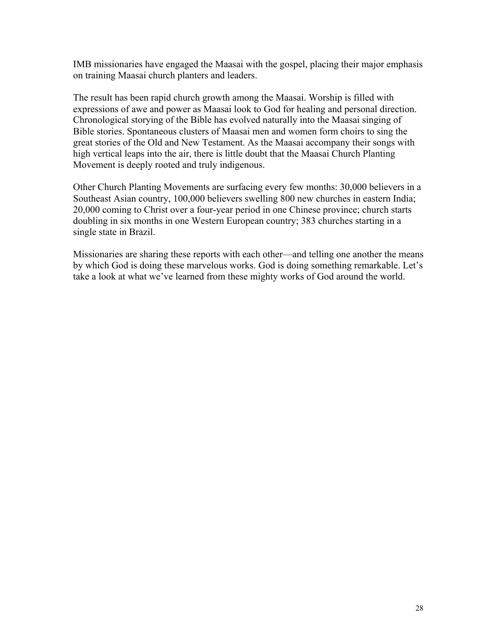IMB missionaries have engaged the Maasai with the gospel, placing their major emphasis on training Maasai church planters and leaders.

The result has been rapid church growth among the Maasai. Worship is filled with expressions of awe and power as Maasai look to God for healing and personal direction. Chronological storying of the Bible has evolved naturally into the Maasai singing of Bible stories. Spontaneous clusters of Maasai men and women form choirs to sing the great stories of the Old and New Testament. As the Maasai accompany their songs with high vertical leaps into the air, there is little doubt that the Maasai Church Planting Movement is deeply rooted and truly indigenous.

Other Church Planting Movements are surfacing every few months: 30,000 believers in a Southeast Asian country, 100,000 believers swelling 800 new churches in eastern India; 20,000 coming to Christ over a four-year period in one Chinese province; church starts doubling in six months in one Western European country; 383 churches starting in a single state in Brazil.

Missionaries are sharing these reports with each other—and telling one another the means by which God is doing these marvelous works. God is doing something remarkable. Let's take a look at what we've learned from these mighty works of God around the world.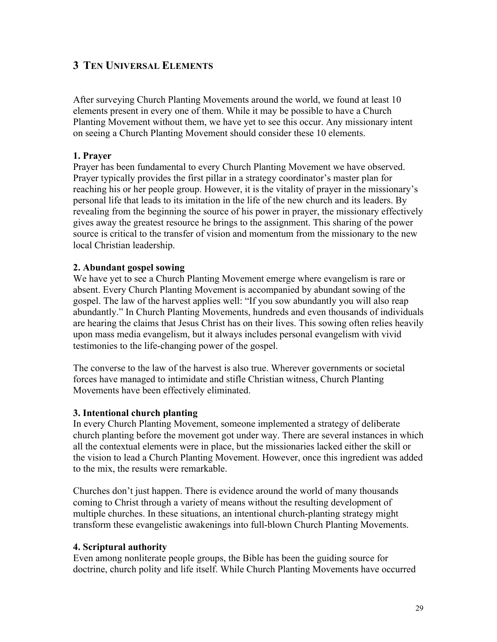# **3 TEN UNIVERSAL ELEMENTS**

After surveying Church Planting Movements around the world, we found at least 10 elements present in every one of them. While it may be possible to have a Church Planting Movement without them, we have yet to see this occur. Any missionary intent on seeing a Church Planting Movement should consider these 10 elements.

#### **1. Prayer**

Prayer has been fundamental to every Church Planting Movement we have observed. Prayer typically provides the first pillar in a strategy coordinator's master plan for reaching his or her people group. However, it is the vitality of prayer in the missionary's personal life that leads to its imitation in the life of the new church and its leaders. By revealing from the beginning the source of his power in prayer, the missionary effectively gives away the greatest resource he brings to the assignment. This sharing of the power source is critical to the transfer of vision and momentum from the missionary to the new local Christian leadership.

#### **2. Abundant gospel sowing**

We have yet to see a Church Planting Movement emerge where evangelism is rare or absent. Every Church Planting Movement is accompanied by abundant sowing of the gospel. The law of the harvest applies well: "If you sow abundantly you will also reap abundantly." In Church Planting Movements, hundreds and even thousands of individuals are hearing the claims that Jesus Christ has on their lives. This sowing often relies heavily upon mass media evangelism, but it always includes personal evangelism with vivid testimonies to the life-changing power of the gospel.

The converse to the law of the harvest is also true. Wherever governments or societal forces have managed to intimidate and stifle Christian witness, Church Planting Movements have been effectively eliminated.

#### **3. Intentional church planting**

In every Church Planting Movement, someone implemented a strategy of deliberate church planting before the movement got under way. There are several instances in which all the contextual elements were in place, but the missionaries lacked either the skill or the vision to lead a Church Planting Movement. However, once this ingredient was added to the mix, the results were remarkable.

Churches don't just happen. There is evidence around the world of many thousands coming to Christ through a variety of means without the resulting development of multiple churches. In these situations, an intentional church-planting strategy might transform these evangelistic awakenings into full-blown Church Planting Movements.

#### **4. Scriptural authority**

Even among nonliterate people groups, the Bible has been the guiding source for doctrine, church polity and life itself. While Church Planting Movements have occurred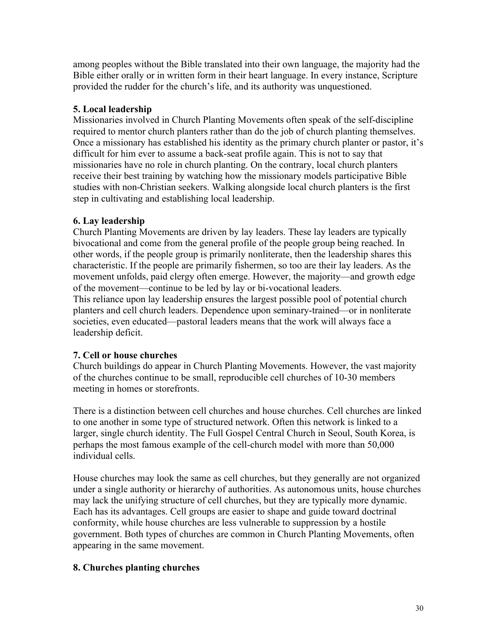among peoples without the Bible translated into their own language, the majority had the Bible either orally or in written form in their heart language. In every instance, Scripture provided the rudder for the church's life, and its authority was unquestioned.

## **5. Local leadership**

Missionaries involved in Church Planting Movements often speak of the self-discipline required to mentor church planters rather than do the job of church planting themselves. Once a missionary has established his identity as the primary church planter or pastor, it's difficult for him ever to assume a back-seat profile again. This is not to say that missionaries have no role in church planting. On the contrary, local church planters receive their best training by watching how the missionary models participative Bible studies with non-Christian seekers. Walking alongside local church planters is the first step in cultivating and establishing local leadership.

## **6. Lay leadership**

Church Planting Movements are driven by lay leaders. These lay leaders are typically bivocational and come from the general profile of the people group being reached. In other words, if the people group is primarily nonliterate, then the leadership shares this characteristic. If the people are primarily fishermen, so too are their lay leaders. As the movement unfolds, paid clergy often emerge. However, the majority—and growth edge of the movement—continue to be led by lay or bi-vocational leaders.

This reliance upon lay leadership ensures the largest possible pool of potential church planters and cell church leaders. Dependence upon seminary-trained—or in nonliterate societies, even educated—pastoral leaders means that the work will always face a leadership deficit.

# **7. Cell or house churches**

Church buildings do appear in Church Planting Movements. However, the vast majority of the churches continue to be small, reproducible cell churches of 10-30 members meeting in homes or storefronts.

There is a distinction between cell churches and house churches. Cell churches are linked to one another in some type of structured network. Often this network is linked to a larger, single church identity. The Full Gospel Central Church in Seoul, South Korea, is perhaps the most famous example of the cell-church model with more than 50,000 individual cells.

House churches may look the same as cell churches, but they generally are not organized under a single authority or hierarchy of authorities. As autonomous units, house churches may lack the unifying structure of cell churches, but they are typically more dynamic. Each has its advantages. Cell groups are easier to shape and guide toward doctrinal conformity, while house churches are less vulnerable to suppression by a hostile government. Both types of churches are common in Church Planting Movements, often appearing in the same movement.

# **8. Churches planting churches**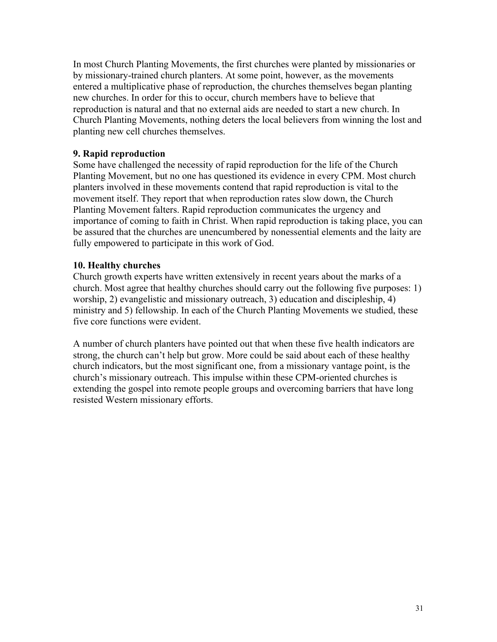In most Church Planting Movements, the first churches were planted by missionaries or by missionary-trained church planters. At some point, however, as the movements entered a multiplicative phase of reproduction, the churches themselves began planting new churches. In order for this to occur, church members have to believe that reproduction is natural and that no external aids are needed to start a new church. In Church Planting Movements, nothing deters the local believers from winning the lost and planting new cell churches themselves.

#### **9. Rapid reproduction**

Some have challenged the necessity of rapid reproduction for the life of the Church Planting Movement, but no one has questioned its evidence in every CPM. Most church planters involved in these movements contend that rapid reproduction is vital to the movement itself. They report that when reproduction rates slow down, the Church Planting Movement falters. Rapid reproduction communicates the urgency and importance of coming to faith in Christ. When rapid reproduction is taking place, you can be assured that the churches are unencumbered by nonessential elements and the laity are fully empowered to participate in this work of God.

#### **10. Healthy churches**

Church growth experts have written extensively in recent years about the marks of a church. Most agree that healthy churches should carry out the following five purposes: 1) worship, 2) evangelistic and missionary outreach, 3) education and discipleship, 4) ministry and 5) fellowship. In each of the Church Planting Movements we studied, these five core functions were evident.

A number of church planters have pointed out that when these five health indicators are strong, the church can't help but grow. More could be said about each of these healthy church indicators, but the most significant one, from a missionary vantage point, is the church's missionary outreach. This impulse within these CPM-oriented churches is extending the gospel into remote people groups and overcoming barriers that have long resisted Western missionary efforts.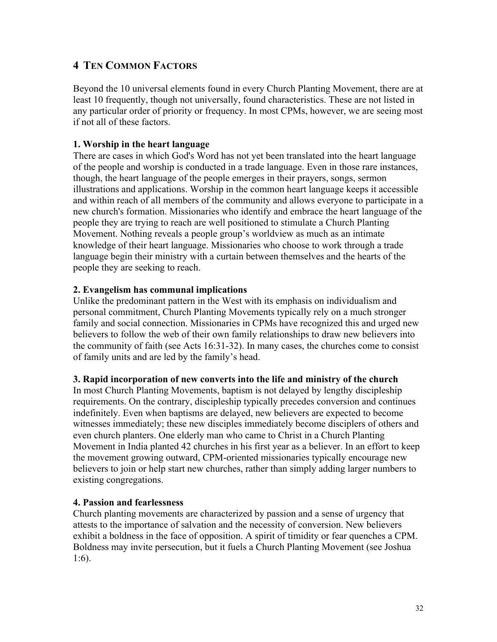# **4 TEN COMMON FACTORS**

Beyond the 10 universal elements found in every Church Planting Movement, there are at least 10 frequently, though not universally, found characteristics. These are not listed in any particular order of priority or frequency. In most CPMs, however, we are seeing most if not all of these factors.

#### **1. Worship in the heart language**

There are cases in which God's Word has not yet been translated into the heart language of the people and worship is conducted in a trade language. Even in those rare instances, though, the heart language of the people emerges in their prayers, songs, sermon illustrations and applications. Worship in the common heart language keeps it accessible and within reach of all members of the community and allows everyone to participate in a new church's formation. Missionaries who identify and embrace the heart language of the people they are trying to reach are well positioned to stimulate a Church Planting Movement. Nothing reveals a people group's worldview as much as an intimate knowledge of their heart language. Missionaries who choose to work through a trade language begin their ministry with a curtain between themselves and the hearts of the people they are seeking to reach.

#### **2. Evangelism has communal implications**

Unlike the predominant pattern in the West with its emphasis on individualism and personal commitment, Church Planting Movements typically rely on a much stronger family and social connection. Missionaries in CPMs have recognized this and urged new believers to follow the web of their own family relationships to draw new believers into the community of faith (see Acts 16:31-32). In many cases, the churches come to consist of family units and are led by the family's head.

#### **3. Rapid incorporation of new converts into the life and ministry of the church**

In most Church Planting Movements, baptism is not delayed by lengthy discipleship requirements. On the contrary, discipleship typically precedes conversion and continues indefinitely. Even when baptisms are delayed, new believers are expected to become witnesses immediately; these new disciples immediately become disciplers of others and even church planters. One elderly man who came to Christ in a Church Planting Movement in India planted 42 churches in his first year as a believer. In an effort to keep the movement growing outward, CPM-oriented missionaries typically encourage new believers to join or help start new churches, rather than simply adding larger numbers to existing congregations.

#### **4. Passion and fearlessness**

Church planting movements are characterized by passion and a sense of urgency that attests to the importance of salvation and the necessity of conversion. New believers exhibit a boldness in the face of opposition. A spirit of timidity or fear quenches a CPM. Boldness may invite persecution, but it fuels a Church Planting Movement (see Joshua 1:6).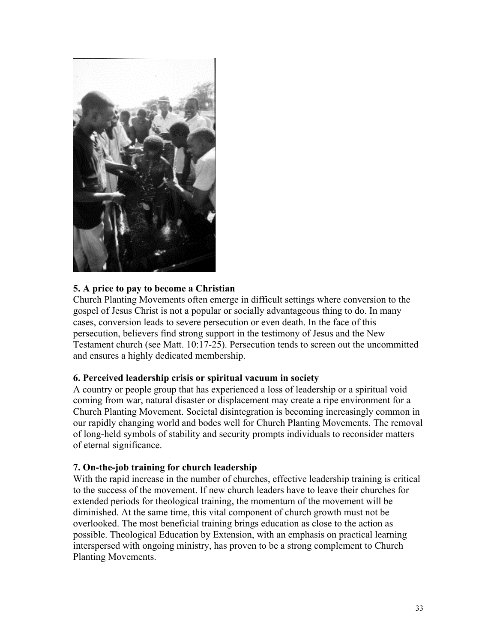

## **5. A price to pay to become a Christian**

Church Planting Movements often emerge in difficult settings where conversion to the gospel of Jesus Christ is not a popular or socially advantageous thing to do. In many cases, conversion leads to severe persecution or even death. In the face of this persecution, believers find strong support in the testimony of Jesus and the New Testament church (see Matt. 10:17-25). Persecution tends to screen out the uncommitted and ensures a highly dedicated membership.

#### **6. Perceived leadership crisis or spiritual vacuum in society**

A country or people group that has experienced a loss of leadership or a spiritual void coming from war, natural disaster or displacement may create a ripe environment for a Church Planting Movement. Societal disintegration is becoming increasingly common in our rapidly changing world and bodes well for Church Planting Movements. The removal of long-held symbols of stability and security prompts individuals to reconsider matters of eternal significance.

#### **7. On-the-job training for church leadership**

With the rapid increase in the number of churches, effective leadership training is critical to the success of the movement. If new church leaders have to leave their churches for extended periods for theological training, the momentum of the movement will be diminished. At the same time, this vital component of church growth must not be overlooked. The most beneficial training brings education as close to the action as possible. Theological Education by Extension, with an emphasis on practical learning interspersed with ongoing ministry, has proven to be a strong complement to Church Planting Movements.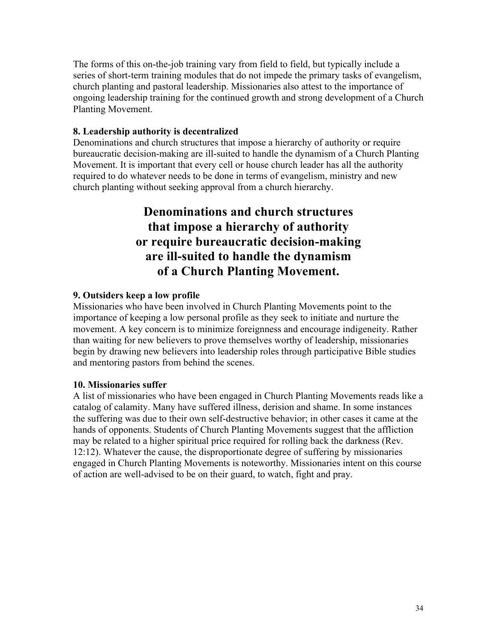The forms of this on-the-job training vary from field to field, but typically include a series of short-term training modules that do not impede the primary tasks of evangelism, church planting and pastoral leadership. Missionaries also attest to the importance of ongoing leadership training for the continued growth and strong development of a Church Planting Movement.

#### **8. Leadership authority is decentralized**

Denominations and church structures that impose a hierarchy of authority or require bureaucratic decision-making are ill-suited to handle the dynamism of a Church Planting Movement. It is important that every cell or house church leader has all the authority required to do whatever needs to be done in terms of evangelism, ministry and new church planting without seeking approval from a church hierarchy.

# **Denominations and church structures that impose a hierarchy of authority or require bureaucratic decision-making are ill-suited to handle the dynamism of a Church Planting Movement.**

## **9. Outsiders keep a low profile**

Missionaries who have been involved in Church Planting Movements point to the importance of keeping a low personal profile as they seek to initiate and nurture the movement. A key concern is to minimize foreignness and encourage indigeneity. Rather than waiting for new believers to prove themselves worthy of leadership, missionaries begin by drawing new believers into leadership roles through participative Bible studies and mentoring pastors from behind the scenes.

#### **10. Missionaries suffer**

A list of missionaries who have been engaged in Church Planting Movements reads like a catalog of calamity. Many have suffered illness, derision and shame. In some instances the suffering was due to their own self-destructive behavior; in other cases it came at the hands of opponents. Students of Church Planting Movements suggest that the affliction may be related to a higher spiritual price required for rolling back the darkness (Rev. 12:12). Whatever the cause, the disproportionate degree of suffering by missionaries engaged in Church Planting Movements is noteworthy. Missionaries intent on this course of action are well-advised to be on their guard, to watch, fight and pray.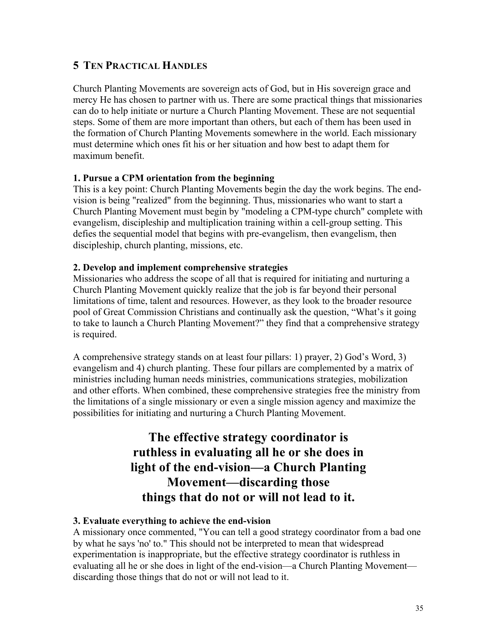# **5 TEN PRACTICAL HANDLES**

Church Planting Movements are sovereign acts of God, but in His sovereign grace and mercy He has chosen to partner with us. There are some practical things that missionaries can do to help initiate or nurture a Church Planting Movement. These are not sequential steps. Some of them are more important than others, but each of them has been used in the formation of Church Planting Movements somewhere in the world. Each missionary must determine which ones fit his or her situation and how best to adapt them for maximum benefit.

#### **1. Pursue a CPM orientation from the beginning**

This is a key point: Church Planting Movements begin the day the work begins. The endvision is being "realized" from the beginning. Thus, missionaries who want to start a Church Planting Movement must begin by "modeling a CPM-type church" complete with evangelism, discipleship and multiplication training within a cell-group setting. This defies the sequential model that begins with pre-evangelism, then evangelism, then discipleship, church planting, missions, etc.

#### **2. Develop and implement comprehensive strategies**

Missionaries who address the scope of all that is required for initiating and nurturing a Church Planting Movement quickly realize that the job is far beyond their personal limitations of time, talent and resources. However, as they look to the broader resource pool of Great Commission Christians and continually ask the question, "What's it going to take to launch a Church Planting Movement?" they find that a comprehensive strategy is required.

A comprehensive strategy stands on at least four pillars: 1) prayer, 2) God's Word, 3) evangelism and 4) church planting. These four pillars are complemented by a matrix of ministries including human needs ministries, communications strategies, mobilization and other efforts. When combined, these comprehensive strategies free the ministry from the limitations of a single missionary or even a single mission agency and maximize the possibilities for initiating and nurturing a Church Planting Movement.

# **The effective strategy coordinator is ruthless in evaluating all he or she does in light of the end-vision—a Church Planting Movement—discarding those things that do not or will not lead to it.**

#### **3. Evaluate everything to achieve the end-vision**

A missionary once commented, "You can tell a good strategy coordinator from a bad one by what he says 'no' to." This should not be interpreted to mean that widespread experimentation is inappropriate, but the effective strategy coordinator is ruthless in evaluating all he or she does in light of the end-vision—a Church Planting Movement discarding those things that do not or will not lead to it.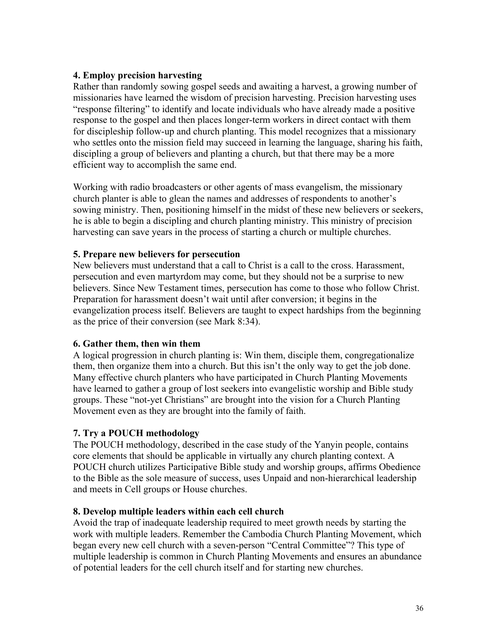#### **4. Employ precision harvesting**

Rather than randomly sowing gospel seeds and awaiting a harvest, a growing number of missionaries have learned the wisdom of precision harvesting. Precision harvesting uses "response filtering" to identify and locate individuals who have already made a positive response to the gospel and then places longer-term workers in direct contact with them for discipleship follow-up and church planting. This model recognizes that a missionary who settles onto the mission field may succeed in learning the language, sharing his faith, discipling a group of believers and planting a church, but that there may be a more efficient way to accomplish the same end.

Working with radio broadcasters or other agents of mass evangelism, the missionary church planter is able to glean the names and addresses of respondents to another's sowing ministry. Then, positioning himself in the midst of these new believers or seekers, he is able to begin a discipling and church planting ministry. This ministry of precision harvesting can save years in the process of starting a church or multiple churches.

#### **5. Prepare new believers for persecution**

New believers must understand that a call to Christ is a call to the cross. Harassment, persecution and even martyrdom may come, but they should not be a surprise to new believers. Since New Testament times, persecution has come to those who follow Christ. Preparation for harassment doesn't wait until after conversion; it begins in the evangelization process itself. Believers are taught to expect hardships from the beginning as the price of their conversion (see Mark 8:34).

#### **6. Gather them, then win them**

A logical progression in church planting is: Win them, disciple them, congregationalize them, then organize them into a church. But this isn't the only way to get the job done. Many effective church planters who have participated in Church Planting Movements have learned to gather a group of lost seekers into evangelistic worship and Bible study groups. These "not-yet Christians" are brought into the vision for a Church Planting Movement even as they are brought into the family of faith.

#### **7. Try a POUCH methodology**

The POUCH methodology, described in the case study of the Yanyin people, contains core elements that should be applicable in virtually any church planting context. A POUCH church utilizes Participative Bible study and worship groups, affirms Obedience to the Bible as the sole measure of success, uses Unpaid and non-hierarchical leadership and meets in Cell groups or House churches.

#### **8. Develop multiple leaders within each cell church**

Avoid the trap of inadequate leadership required to meet growth needs by starting the work with multiple leaders. Remember the Cambodia Church Planting Movement, which began every new cell church with a seven-person "Central Committee"? This type of multiple leadership is common in Church Planting Movements and ensures an abundance of potential leaders for the cell church itself and for starting new churches.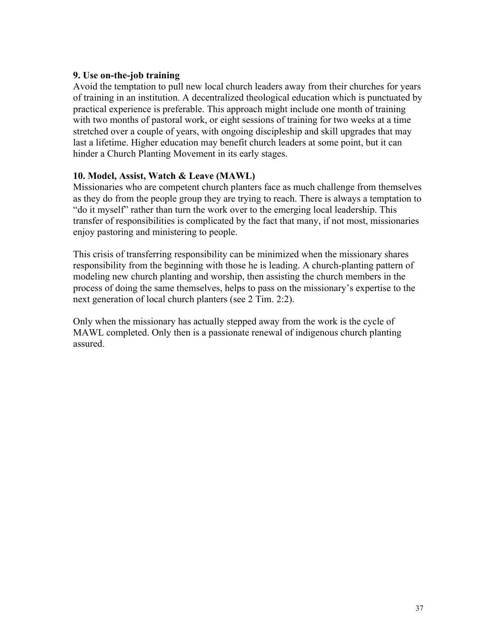#### **9. Use on-the-job training**

Avoid the temptation to pull new local church leaders away from their churches for years of training in an institution. A decentralized theological education which is punctuated by practical experience is preferable. This approach might include one month of training with two months of pastoral work, or eight sessions of training for two weeks at a time stretched over a couple of years, with ongoing discipleship and skill upgrades that may last a lifetime. Higher education may benefit church leaders at some point, but it can hinder a Church Planting Movement in its early stages.

#### **10. Model, Assist, Watch & Leave (MAWL)**

Missionaries who are competent church planters face as much challenge from themselves as they do from the people group they are trying to reach. There is always a temptation to "do it myself" rather than turn the work over to the emerging local leadership. This transfer of responsibilities is complicated by the fact that many, if not most, missionaries enjoy pastoring and ministering to people.

This crisis of transferring responsibility can be minimized when the missionary shares responsibility from the beginning with those he is leading. A church-planting pattern of modeling new church planting and worship, then assisting the church members in the process of doing the same themselves, helps to pass on the missionary's expertise to the next generation of local church planters (see 2 Tim. 2:2).

Only when the missionary has actually stepped away from the work is the cycle of MAWL completed. Only then is a passionate renewal of indigenous church planting assured.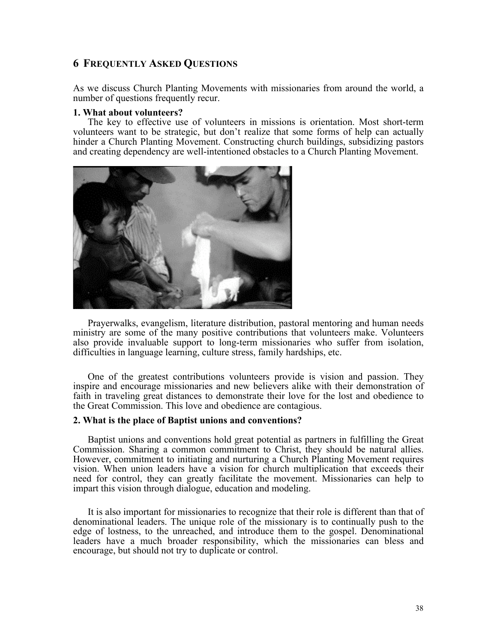#### **6 FREQUENTLY ASKED QUESTIONS**

As we discuss Church Planting Movements with missionaries from around the world, a number of questions frequently recur.

#### **1. What about volunteers?**

The key to effective use of volunteers in missions is orientation. Most short-term volunteers want to be strategic, but don't realize that some forms of help can actually hinder a Church Planting Movement. Constructing church buildings, subsidizing pastors and creating dependency are well-intentioned obstacles to a Church Planting Movement.



Prayerwalks, evangelism, literature distribution, pastoral mentoring and human needs ministry are some of the many positive contributions that volunteers make. Volunteers also provide invaluable support to long-term missionaries who suffer from isolation, difficulties in language learning, culture stress, family hardships, etc.

One of the greatest contributions volunteers provide is vision and passion. They inspire and encourage missionaries and new believers alike with their demonstration of faith in traveling great distances to demonstrate their love for the lost and obedience to the Great Commission. This love and obedience are contagious.

#### **2. What is the place of Baptist unions and conventions?**

Baptist unions and conventions hold great potential as partners in fulfilling the Great Commission. Sharing a common commitment to Christ, they should be natural allies. However, commitment to initiating and nurturing a Church Planting Movement requires vision. When union leaders have a vision for church multiplication that exceeds their need for control, they can greatly facilitate the movement. Missionaries can help to impart this vision through dialogue, education and modeling.

It is also important for missionaries to recognize that their role is different than that of denominational leaders. The unique role of the missionary is to continually push to the edge of lostness, to the unreached, and introduce them to the gospel. Denominational leaders have a much broader responsibility, which the missionaries can bless and encourage, but should not try to duplicate or control.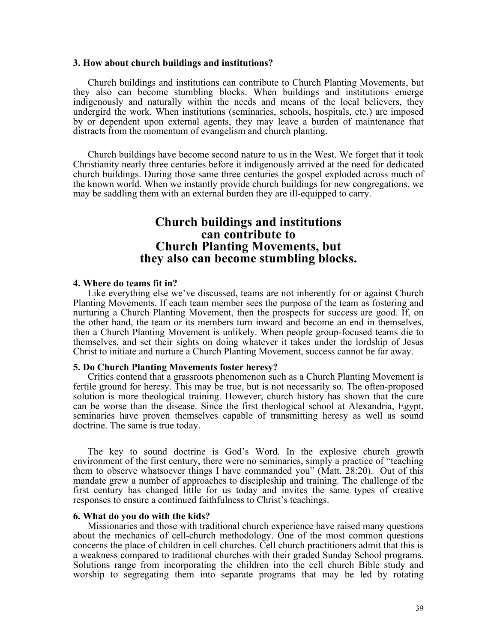#### **3. How about church buildings and institutions?**

Church buildings and institutions can contribute to Church Planting Movements, but they also can become stumbling blocks. When buildings and institutions emerge indigenously and naturally within the needs and means of the local believers, they undergird the work. When institutions (seminaries, schools, hospitals, etc.) are imposed by or dependent upon external agents, they may leave a burden of maintenance that distracts from the momentum of evangelism and church planting.

Church buildings have become second nature to us in the West. We forget that it took Christianity nearly three centuries before it indigenously arrived at the need for dedicated church buildings. During those same three centuries the gospel exploded across much of the known world. When we instantly provide church buildings for new congregations, we may be saddling them with an external burden they are ill-equipped to carry.

# **Church buildings and institutions can contribute to Church Planting Movements, but they also can become stumbling blocks.**

#### **4. Where do teams fit in?**

Like everything else we've discussed, teams are not inherently for or against Church Planting Movements. If each team member sees the purpose of the team as fostering and nurturing a Church Planting Movement, then the prospects for success are good. If, on the other hand, the team or its members turn inward and become an end in themselves, then a Church Planting Movement is unlikely. When people group-focused teams die to themselves, and set their sights on doing whatever it takes under the lordship of Jesus Christ to initiate and nurture a Church Planting Movement, success cannot be far away.

#### **5. Do Church Planting Movements foster heresy?**

Critics contend that a grassroots phenomenon such as a Church Planting Movement is fertile ground for heresy. This may be true, but is not necessarily so. The often-proposed solution is more theological training. However, church history has shown that the cure can be worse than the disease. Since the first theological school at Alexandria, Egypt, seminaries have proven themselves capable of transmitting heresy as well as sound doctrine. The same is true today.

The key to sound doctrine is God's Word. In the explosive church growth environment of the first century, there were no seminaries, simply a practice of "teaching them to observe whatsoever things I have commanded you" (Matt. 28:20). Out of this mandate grew a number of approaches to discipleship and training. The challenge of the first century has changed little for us today and invites the same types of creative responses to ensure a continued faithfulness to Christ's teachings.

#### **6. What do you do with the kids?**

Missionaries and those with traditional church experience have raised many questions about the mechanics of cell-church methodology. One of the most common questions concerns the place of children in cell churches. Cell church practitioners admit that this is a weakness compared to traditional churches with their graded Sunday School programs. Solutions range from incorporating the children into the cell church Bible study and worship to segregating them into separate programs that may be led by rotating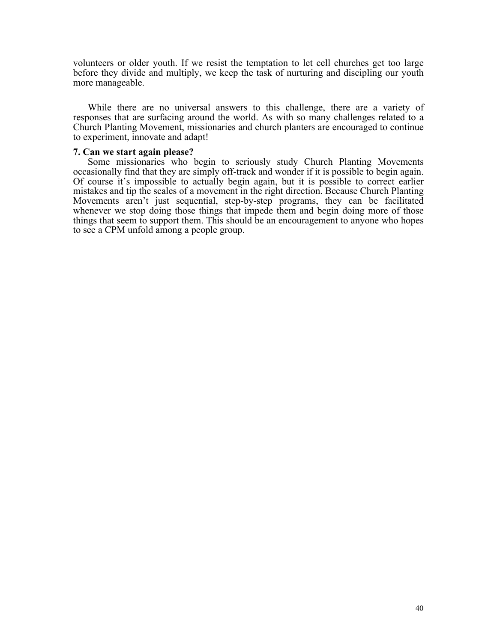volunteers or older youth. If we resist the temptation to let cell churches get too large before they divide and multiply, we keep the task of nurturing and discipling our youth more manageable.

While there are no universal answers to this challenge, there are a variety of responses that are surfacing around the world. As with so many challenges related to a Church Planting Movement, missionaries and church planters are encouraged to continue to experiment, innovate and adapt!

#### **7. Can we start again please?**

Some missionaries who begin to seriously study Church Planting Movements occasionally find that they are simply off-track and wonder if it is possible to begin again. Of course it's impossible to actually begin again, but it is possible to correct earlier mistakes and tip the scales of a movement in the right direction. Because Church Planting Movements aren't just sequential, step-by-step programs, they can be facilitated whenever we stop doing those things that impede them and begin doing more of those things that seem to support them. This should be an encouragement to anyone who hopes to see a CPM unfold among a people group.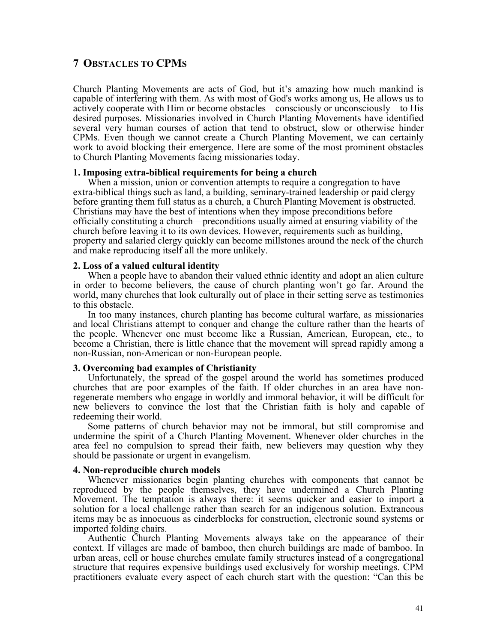#### **7 OBSTACLES TO CPMS**

Church Planting Movements are acts of God, but it's amazing how much mankind is capable of interfering with them. As with most of God's works among us, He allows us to actively cooperate with Him or become obstacles—consciously or unconsciously—to His desired purposes. Missionaries involved in Church Planting Movements have identified several very human courses of action that tend to obstruct, slow or otherwise hinder CPMs. Even though we cannot create a Church Planting Movement, we can certainly work to avoid blocking their emergence. Here are some of the most prominent obstacles to Church Planting Movements facing missionaries today.

#### **1. Imposing extra-biblical requirements for being a church**

When a mission, union or convention attempts to require a congregation to have extra-biblical things such as land, a building, seminary-trained leadership or paid clergy before granting them full status as a church, a Church Planting Movement is obstructed. Christians may have the best of intentions when they impose preconditions before officially constituting a church—preconditions usually aimed at ensuring viability of the church before leaving it to its own devices. However, requirements such as building, property and salaried clergy quickly can become millstones around the neck of the church and make reproducing itself all the more unlikely.

#### **2. Loss of a valued cultural identity**

When a people have to abandon their valued ethnic identity and adopt an alien culture in order to become believers, the cause of church planting won't go far. Around the world, many churches that look culturally out of place in their setting serve as testimonies to this obstacle.

In too many instances, church planting has become cultural warfare, as missionaries and local Christians attempt to conquer and change the culture rather than the hearts of the people. Whenever one must become like a Russian, American, European, etc., to become a Christian, there is little chance that the movement will spread rapidly among a non-Russian, non-American or non-European people.

#### **3. Overcoming bad examples of Christianity**

Unfortunately, the spread of the gospel around the world has sometimes produced churches that are poor examples of the faith. If older churches in an area have nonregenerate members who engage in worldly and immoral behavior, it will be difficult for new believers to convince the lost that the Christian faith is holy and capable of redeeming their world.

Some patterns of church behavior may not be immoral, but still compromise and undermine the spirit of a Church Planting Movement. Whenever older churches in the area feel no compulsion to spread their faith, new believers may question why they should be passionate or urgent in evangelism.

#### **4. Non-reproducible church models**

Whenever missionaries begin planting churches with components that cannot be reproduced by the people themselves, they have undermined a Church Planting Movement. The temptation is always there: it seems quicker and easier to import a solution for a local challenge rather than search for an indigenous solution. Extraneous items may be as innocuous as cinderblocks for construction, electronic sound systems or imported folding chairs.

Authentic Church Planting Movements always take on the appearance of their context. If villages are made of bamboo, then church buildings are made of bamboo. In urban areas, cell or house churches emulate family structures instead of a congregational structure that requires expensive buildings used exclusively for worship meetings. CPM practitioners evaluate every aspect of each church start with the question: "Can this be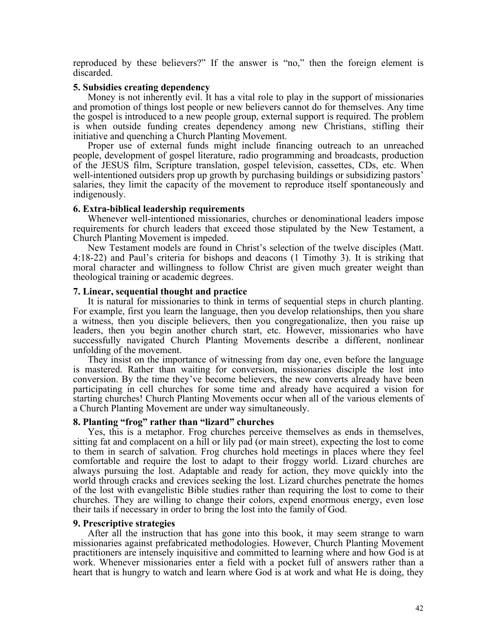reproduced by these believers?" If the answer is "no," then the foreign element is discarded.

#### **5. Subsidies creating dependency**

Money is not inherently evil. It has a vital role to play in the support of missionaries and promotion of things lost people or new believers cannot do for themselves. Any time the gospel is introduced to a new people group, external support is required. The problem is when outside funding creates dependency among new Christians, stifling their initiative and quenching a Church Planting Movement.

Proper use of external funds might include financing outreach to an unreached people, development of gospel literature, radio programming and broadcasts, production of the JESUS film, Scripture translation, gospel television, cassettes, CDs, etc. When well-intentioned outsiders prop up growth by purchasing buildings or subsidizing pastors' salaries, they limit the capacity of the movement to reproduce itself spontaneously and indigenously.

#### **6. Extra-biblical leadership requirements**

Whenever well-intentioned missionaries, churches or denominational leaders impose requirements for church leaders that exceed those stipulated by the New Testament, a Church Planting Movement is impeded.

New Testament models are found in Christ's selection of the twelve disciples (Matt. 4:18-22) and Paul's criteria for bishops and deacons (1 Timothy 3). It is striking that moral character and willingness to follow Christ are given much greater weight than theological training or academic degrees.

#### **7. Linear, sequential thought and practice**

It is natural for missionaries to think in terms of sequential steps in church planting. For example, first you learn the language, then you develop relationships, then you share a witness, then you disciple believers, then you congregationalize, then you raise up leaders, then you begin another church start, etc. However, missionaries who have successfully navigated Church Planting Movements describe a different, nonlinear unfolding of the movement.

They insist on the importance of witnessing from day one, even before the language is mastered. Rather than waiting for conversion, missionaries disciple the lost into conversion. By the time they've become believers, the new converts already have been participating in cell churches for some time and already have acquired a vision for starting churches! Church Planting Movements occur when all of the various elements of a Church Planting Movement are under way simultaneously.

#### **8. Planting "frog" rather than "lizard" churches**

Yes, this is a metaphor. Frog churches perceive themselves as ends in themselves, sitting fat and complacent on a hill or lily pad (or main street), expecting the lost to come to them in search of salvation. Frog churches hold meetings in places where they feel comfortable and require the lost to adapt to their froggy world. Lizard churches are always pursuing the lost. Adaptable and ready for action, they move quickly into the world through cracks and crevices seeking the lost. Lizard churches penetrate the homes of the lost with evangelistic Bible studies rather than requiring the lost to come to their churches. They are willing to change their colors, expend enormous energy, even lose their tails if necessary in order to bring the lost into the family of God.

#### **9. Prescriptive strategies**

After all the instruction that has gone into this book, it may seem strange to warn missionaries against prefabricated methodologies. However, Church Planting Movement practitioners are intensely inquisitive and committed to learning where and how God is at work. Whenever missionaries enter a field with a pocket full of answers rather than a heart that is hungry to watch and learn where God is at work and what He is doing, they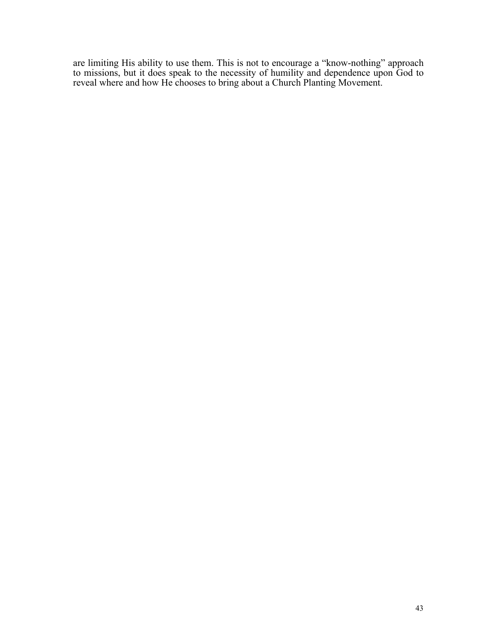are limiting His ability to use them. This is not to encourage a "know-nothing" approach to missions, but it does speak to the necessity of humility and dependence upon God to reveal where and how He chooses to bring about a Church Planting Movement.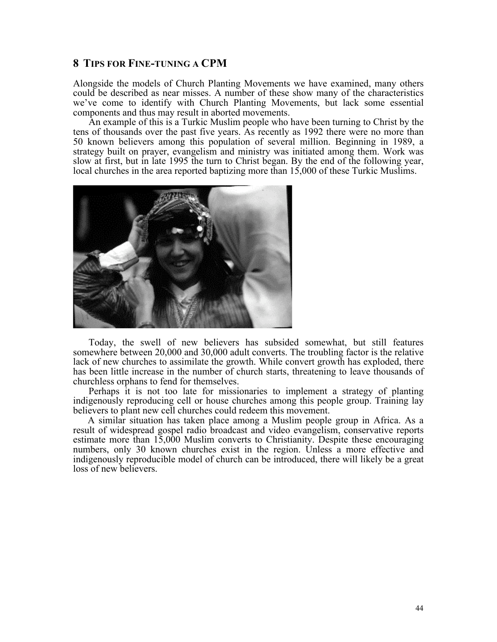#### **8 TIPS FOR FINE-TUNING A CPM**

Alongside the models of Church Planting Movements we have examined, many others could be described as near misses. A number of these show many of the characteristics we've come to identify with Church Planting Movements, but lack some essential components and thus may result in aborted movements.

An example of this is a Turkic Muslim people who have been turning to Christ by the tens of thousands over the past five years. As recently as 1992 there were no more than 50 known believers among this population of several million. Beginning in 1989, a strategy built on prayer, evangelism and ministry was initiated among them. Work was slow at first, but in late 1995 the turn to Christ began. By the end of the following year, local churches in the area reported baptizing more than 15,000 of these Turkic Muslims.



Today, the swell of new believers has subsided somewhat, but still features somewhere between 20,000 and 30,000 adult converts. The troubling factor is the relative lack of new churches to assimilate the growth. While convert growth has exploded, there has been little increase in the number of church starts, threatening to leave thousands of churchless orphans to fend for themselves.

Perhaps it is not too late for missionaries to implement a strategy of planting indigenously reproducing cell or house churches among this people group. Training lay believers to plant new cell churches could redeem this movement.

A similar situation has taken place among a Muslim people group in Africa. As a result of widespread gospel radio broadcast and video evangelism, conservative reports estimate more than 15,000 Muslim converts to Christianity. Despite these encouraging numbers, only 30 known churches exist in the region. Unless a more effective and indigenously reproducible model of church can be introduced, there will likely be a great loss of new believers.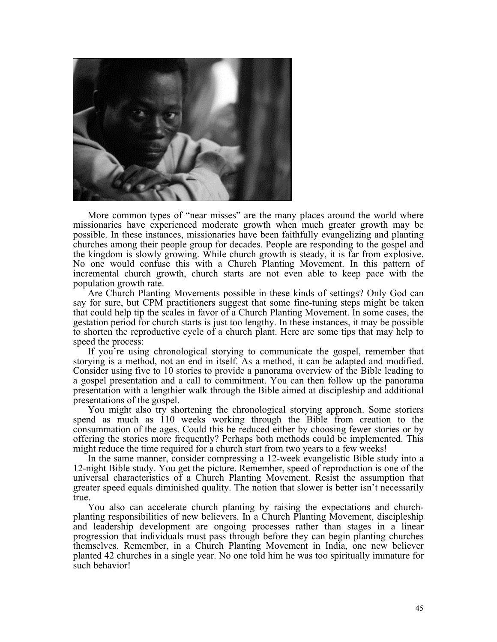

More common types of "near misses" are the many places around the world where missionaries have experienced moderate growth when much greater growth may be possible. In these instances, missionaries have been faithfully evangelizing and planting churches among their people group for decades. People are responding to the gospel and the kingdom is slowly growing. While church growth is steady, it is far from explosive. No one would confuse this with a Church Planting Movement. In this pattern of incremental church growth, church starts are not even able to keep pace with the population growth rate.

Are Church Planting Movements possible in these kinds of settings? Only God can say for sure, but CPM practitioners suggest that some fine-tuning steps might be taken that could help tip the scales in favor of a Church Planting Movement. In some cases, the gestation period for church starts is just too lengthy. In these instances, it may be possible to shorten the reproductive cycle of a church plant. Here are some tips that may help to speed the process:

If you're using chronological storying to communicate the gospel, remember that storying is a method, not an end in itself. As a method, it can be adapted and modified. Consider using five to 10 stories to provide a panorama overview of the Bible leading to a gospel presentation and a call to commitment. You can then follow up the panorama presentation with a lengthier walk through the Bible aimed at discipleship and additional presentations of the gospel.

You might also try shortening the chronological storying approach. Some storiers spend as much as 110 weeks working through the Bible from creation to the consummation of the ages. Could this be reduced either by choosing fewer stories or by offering the stories more frequently? Perhaps both methods could be implemented. This might reduce the time required for a church start from two years to a few weeks!

In the same manner, consider compressing a 12-week evangelistic Bible study into a 12-night Bible study. You get the picture. Remember, speed of reproduction is one of the universal characteristics of a Church Planting Movement. Resist the assumption that greater speed equals diminished quality. The notion that slower is better isn't necessarily true.

You also can accelerate church planting by raising the expectations and church- planting responsibilities of new believers. In a Church Planting Movement, discipleship and leadership development are ongoing processes rather than stages in a linear progression that individuals must pass through before they can begin planting churches themselves. Remember, in a Church Planting Movement in India, one new believer planted 42 churches in a single year. No one told him he was too spiritually immature for such behavior!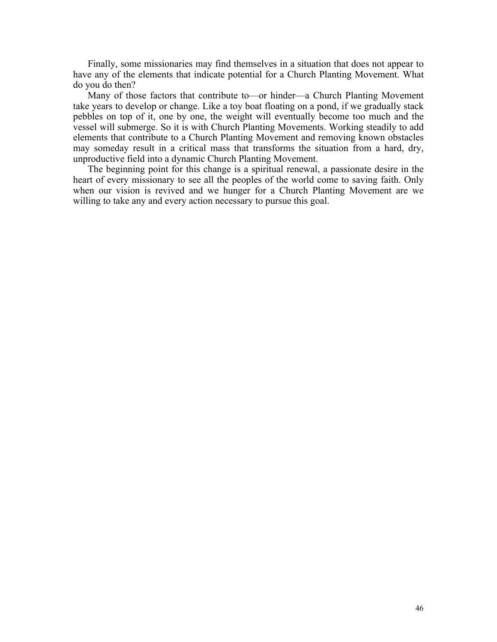Finally, some missionaries may find themselves in a situation that does not appear to have any of the elements that indicate potential for a Church Planting Movement. What do you do then?

Many of those factors that contribute to—or hinder—a Church Planting Movement take years to develop or change. Like a toy boat floating on a pond, if we gradually stack pebbles on top of it, one by one, the weight will eventually become too much and the vessel will submerge. So it is with Church Planting Movements. Working steadily to add elements that contribute to a Church Planting Movement and removing known obstacles may someday result in a critical mass that transforms the situation from a hard, dry, unproductive field into a dynamic Church Planting Movement.

The beginning point for this change is a spiritual renewal, a passionate desire in the heart of every missionary to see all the peoples of the world come to saving faith. Only when our vision is revived and we hunger for a Church Planting Movement are we willing to take any and every action necessary to pursue this goal.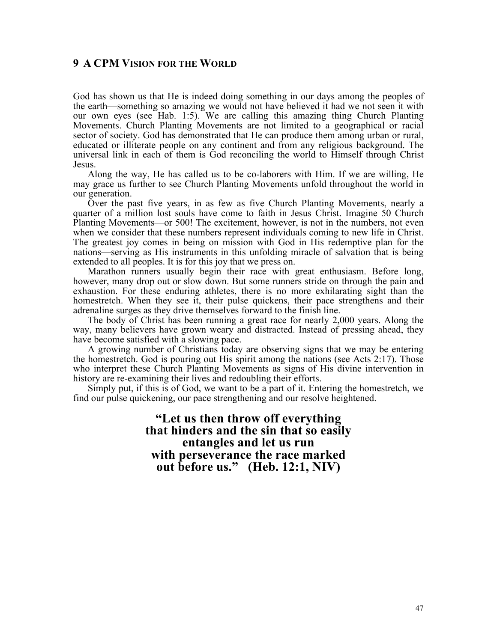#### **9 A CPM VISION FOR THE WORLD**

God has shown us that He is indeed doing something in our days among the peoples of the earth—something so amazing we would not have believed it had we not seen it with our own eyes (see Hab. 1:5). We are calling this amazing thing Church Planting Movements. Church Planting Movements are not limited to a geographical or racial sector of society. God has demonstrated that He can produce them among urban or rural, educated or illiterate people on any continent and from any religious background. The universal link in each of them is God reconciling the world to Himself through Christ Jesus.

Along the way, He has called us to be co-laborers with Him. If we are willing, He may grace us further to see Church Planting Movements unfold throughout the world in our generation.

Over the past five years, in as few as five Church Planting Movements, nearly a quarter of a million lost souls have come to faith in Jesus Christ. Imagine 50 Church Planting Movements—or 500! The excitement, however, is not in the numbers, not even when we consider that these numbers represent individuals coming to new life in Christ. The greatest joy comes in being on mission with God in His redemptive plan for the nations—serving as His instruments in this unfolding miracle of salvation that is being extended to all peoples. It is for this joy that we press on.

Marathon runners usually begin their race with great enthusiasm. Before long, however, many drop out or slow down. But some runners stride on through the pain and exhaustion. For these enduring athletes, there is no more exhilarating sight than the homestretch. When they see it, their pulse quickens, their pace strengthens and their adrenaline surges as they drive themselves forward to the finish line.

The body of Christ has been running a great race for nearly 2,000 years. Along the way, many believers have grown weary and distracted. Instead of pressing ahead, they have become satisfied with a slowing pace.

A growing number of Christians today are observing signs that we may be entering the homestretch. God is pouring out His spirit among the nations (see Acts 2:17). Those who interpret these Church Planting Movements as signs of His divine intervention in history are re-examining their lives and redoubling their efforts.

Simply put, if this is of God, we want to be a part of it. Entering the homestretch, we find our pulse quickening, our pace strengthening and our resolve heightened.

> **"Let us then throw off everything that hinders and the sin that so easily entangles and let us run with perseverance the race marked out before us." (Heb. 12:1, NIV)**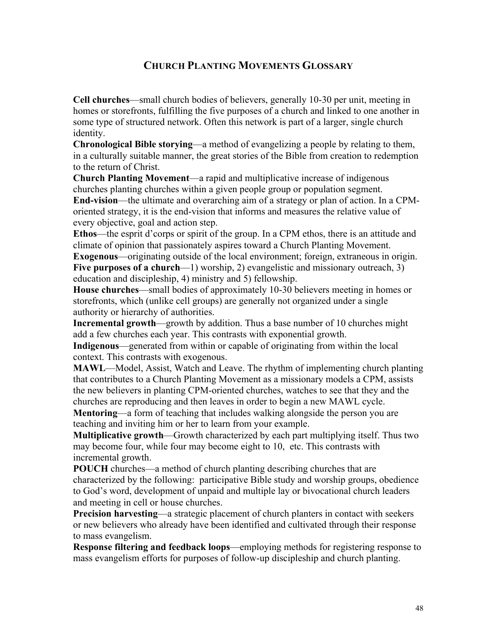# **CHURCH PLANTING MOVEMENTS GLOSSARY**

**Cell churches**—small church bodies of believers, generally 10-30 per unit, meeting in homes or storefronts, fulfilling the five purposes of a church and linked to one another in some type of structured network. Often this network is part of a larger, single church identity.

**Chronological Bible storying**—a method of evangelizing a people by relating to them, in a culturally suitable manner, the great stories of the Bible from creation to redemption to the return of Christ.

**Church Planting Movement**—a rapid and multiplicative increase of indigenous churches planting churches within a given people group or population segment. **End-vision**—the ultimate and overarching aim of a strategy or plan of action. In a CPMoriented strategy, it is the end-vision that informs and measures the relative value of every objective, goal and action step.

**Ethos**—the esprit d'corps or spirit of the group. In a CPM ethos, there is an attitude and climate of opinion that passionately aspires toward a Church Planting Movement.

**Exogenous**—originating outside of the local environment; foreign, extraneous in origin. Five purposes of a church—1) worship, 2) evangelistic and missionary outreach, 3) education and discipleship, 4) ministry and 5) fellowship.

**House churches**—small bodies of approximately 10-30 believers meeting in homes or storefronts, which (unlike cell groups) are generally not organized under a single authority or hierarchy of authorities.

**Incremental growth**—growth by addition. Thus a base number of 10 churches might add a few churches each year. This contrasts with exponential growth.

**Indigenous**—generated from within or capable of originating from within the local context. This contrasts with exogenous.

**MAWL**—Model, Assist, Watch and Leave. The rhythm of implementing church planting that contributes to a Church Planting Movement as a missionary models a CPM, assists the new believers in planting CPM-oriented churches, watches to see that they and the churches are reproducing and then leaves in order to begin a new MAWL cycle.

**Mentoring**—a form of teaching that includes walking alongside the person you are teaching and inviting him or her to learn from your example.

**Multiplicative growth**—Growth characterized by each part multiplying itself. Thus two may become four, while four may become eight to 10, etc. This contrasts with incremental growth.

**POUCH** churches—a method of church planting describing churches that are characterized by the following: participative Bible study and worship groups, obedience to God's word, development of unpaid and multiple lay or bivocational church leaders and meeting in cell or house churches.

**Precision harvesting—a** strategic placement of church planters in contact with seekers or new believers who already have been identified and cultivated through their response to mass evangelism.

**Response filtering and feedback loops**—employing methods for registering response to mass evangelism efforts for purposes of follow-up discipleship and church planting.